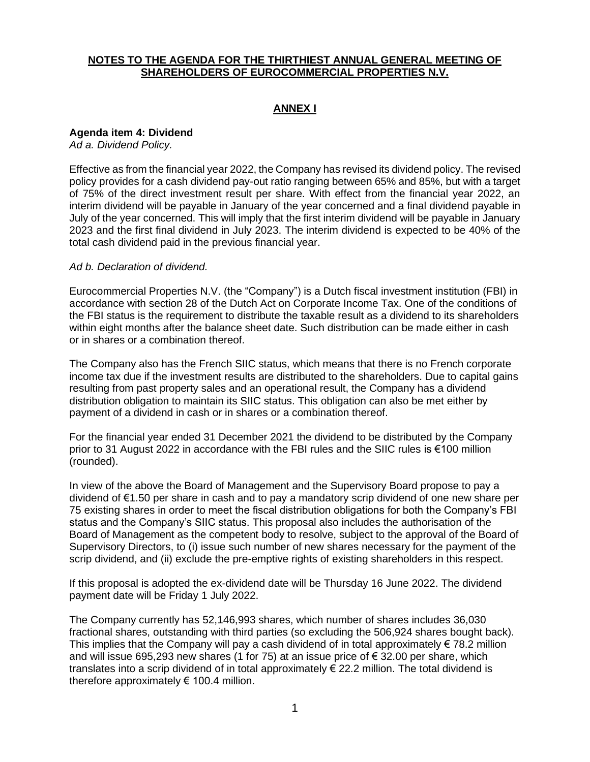# **NOTES TO THE AGENDA FOR THE THIRTHIEST ANNUAL GENERAL MEETING OF SHAREHOLDERS OF EUROCOMMERCIAL PROPERTIES N.V.**

# **ANNEX I**

# **Agenda item 4: Dividend**

*Ad a. Dividend Policy.*

Effective as from the financial year 2022, the Company has revised its dividend policy. The revised policy provides for a cash dividend pay-out ratio ranging between 65% and 85%, but with a target of 75% of the direct investment result per share. With effect from the financial year 2022, an interim dividend will be payable in January of the year concerned and a final dividend payable in July of the year concerned. This will imply that the first interim dividend will be payable in January 2023 and the first final dividend in July 2023. The interim dividend is expected to be 40% of the total cash dividend paid in the previous financial year.

# *Ad b. Declaration of dividend.*

Eurocommercial Properties N.V. (the "Company") is a Dutch fiscal investment institution (FBI) in accordance with section 28 of the Dutch Act on Corporate Income Tax. One of the conditions of the FBI status is the requirement to distribute the taxable result as a dividend to its shareholders within eight months after the balance sheet date. Such distribution can be made either in cash or in shares or a combination thereof.

The Company also has the French SIIC status, which means that there is no French corporate income tax due if the investment results are distributed to the shareholders. Due to capital gains resulting from past property sales and an operational result, the Company has a dividend distribution obligation to maintain its SIIC status. This obligation can also be met either by payment of a dividend in cash or in shares or a combination thereof.

For the financial year ended 31 December 2021 the dividend to be distributed by the Company prior to 31 August 2022 in accordance with the FBI rules and the SIIC rules is €100 million (rounded).

In view of the above the Board of Management and the Supervisory Board propose to pay a dividend of €1.50 per share in cash and to pay a mandatory scrip dividend of one new share per 75 existing shares in order to meet the fiscal distribution obligations for both the Company's FBI status and the Company's SIIC status. This proposal also includes the authorisation of the Board of Management as the competent body to resolve, subject to the approval of the Board of Supervisory Directors, to (i) issue such number of new shares necessary for the payment of the scrip dividend, and (ii) exclude the pre-emptive rights of existing shareholders in this respect.

If this proposal is adopted the ex-dividend date will be Thursday 16 June 2022. The dividend payment date will be Friday 1 July 2022.

The Company currently has 52,146,993 shares, which number of shares includes 36,030 fractional shares, outstanding with third parties (so excluding the 506,924 shares bought back). This implies that the Company will pay a cash dividend of in total approximately  $\epsilon$  78.2 million and will issue 695,293 new shares (1 for 75) at an issue price of  $\epsilon$  32.00 per share, which translates into a scrip dividend of in total approximately € 22.2 million. The total dividend is therefore approximately  $\epsilon$  100.4 million.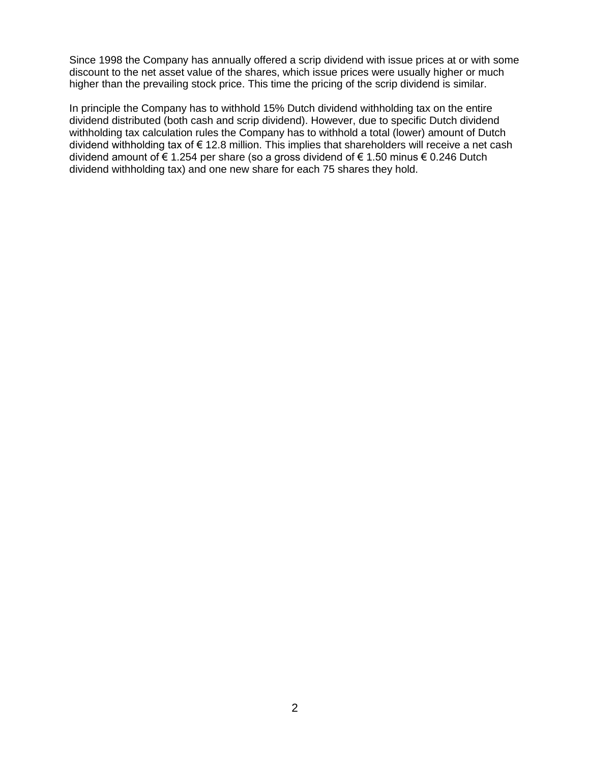Since 1998 the Company has annually offered a scrip dividend with issue prices at or with some discount to the net asset value of the shares, which issue prices were usually higher or much higher than the prevailing stock price. This time the pricing of the scrip dividend is similar.

In principle the Company has to withhold 15% Dutch dividend withholding tax on the entire dividend distributed (both cash and scrip dividend). However, due to specific Dutch dividend withholding tax calculation rules the Company has to withhold a total (lower) amount of Dutch dividend withholding tax of € 12.8 million. This implies that shareholders will receive a net cash dividend amount of € 1.254 per share (so a gross dividend of € 1.50 minus € 0.246 Dutch dividend withholding tax) and one new share for each 75 shares they hold.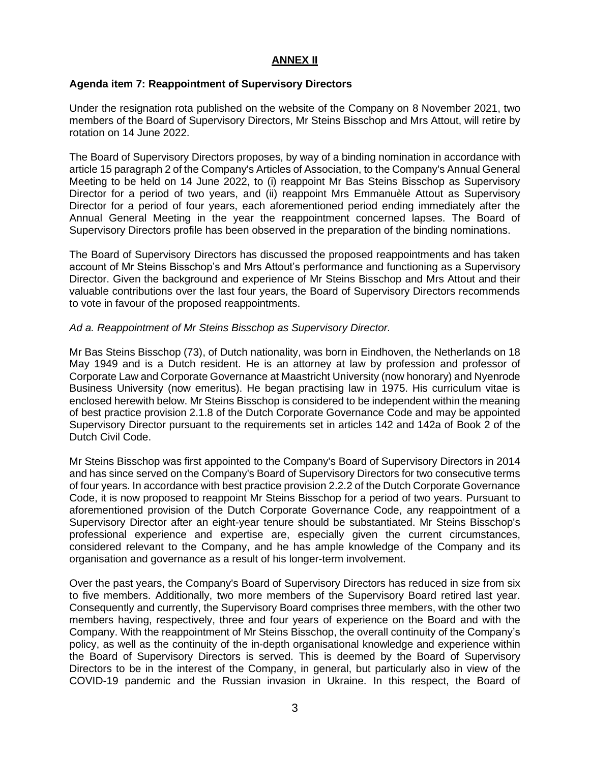# **ANNEX II**

# **Agenda item 7: Reappointment of Supervisory Directors**

Under the resignation rota published on the website of the Company on 8 November 2021, two members of the Board of Supervisory Directors, Mr Steins Bisschop and Mrs Attout, will retire by rotation on 14 June 2022.

The Board of Supervisory Directors proposes, by way of a binding nomination in accordance with article 15 paragraph 2 of the Company's Articles of Association, to the Company's Annual General Meeting to be held on 14 June 2022, to (i) reappoint Mr Bas Steins Bisschop as Supervisory Director for a period of two years, and (ii) reappoint Mrs Emmanuèle Attout as Supervisory Director for a period of four years, each aforementioned period ending immediately after the Annual General Meeting in the year the reappointment concerned lapses. The Board of Supervisory Directors profile has been observed in the preparation of the binding nominations.

The Board of Supervisory Directors has discussed the proposed reappointments and has taken account of Mr Steins Bisschop's and Mrs Attout's performance and functioning as a Supervisory Director. Given the background and experience of Mr Steins Bisschop and Mrs Attout and their valuable contributions over the last four years, the Board of Supervisory Directors recommends to vote in favour of the proposed reappointments.

# *Ad a. Reappointment of Mr Steins Bisschop as Supervisory Director.*

Mr Bas Steins Bisschop (73), of Dutch nationality, was born in Eindhoven, the Netherlands on 18 May 1949 and is a Dutch resident. He is an attorney at law by profession and professor of Corporate Law and Corporate Governance at Maastricht University (now honorary) and Nyenrode Business University (now emeritus). He began practising law in 1975. His curriculum vitae is enclosed herewith below. Mr Steins Bisschop is considered to be independent within the meaning of best practice provision 2.1.8 of the Dutch Corporate Governance Code and may be appointed Supervisory Director pursuant to the requirements set in articles 142 and 142a of Book 2 of the Dutch Civil Code.

Mr Steins Bisschop was first appointed to the Company's Board of Supervisory Directors in 2014 and has since served on the Company's Board of Supervisory Directors for two consecutive terms of four years. In accordance with best practice provision 2.2.2 of the Dutch Corporate Governance Code, it is now proposed to reappoint Mr Steins Bisschop for a period of two years. Pursuant to aforementioned provision of the Dutch Corporate Governance Code, any reappointment of a Supervisory Director after an eight-year tenure should be substantiated. Mr Steins Bisschop's professional experience and expertise are, especially given the current circumstances, considered relevant to the Company, and he has ample knowledge of the Company and its organisation and governance as a result of his longer-term involvement.

Over the past years, the Company's Board of Supervisory Directors has reduced in size from six to five members. Additionally, two more members of the Supervisory Board retired last year. Consequently and currently, the Supervisory Board comprises three members, with the other two members having, respectively, three and four years of experience on the Board and with the Company. With the reappointment of Mr Steins Bisschop, the overall continuity of the Company's policy, as well as the continuity of the in-depth organisational knowledge and experience within the Board of Supervisory Directors is served. This is deemed by the Board of Supervisory Directors to be in the interest of the Company, in general, but particularly also in view of the COVID-19 pandemic and the Russian invasion in Ukraine. In this respect, the Board of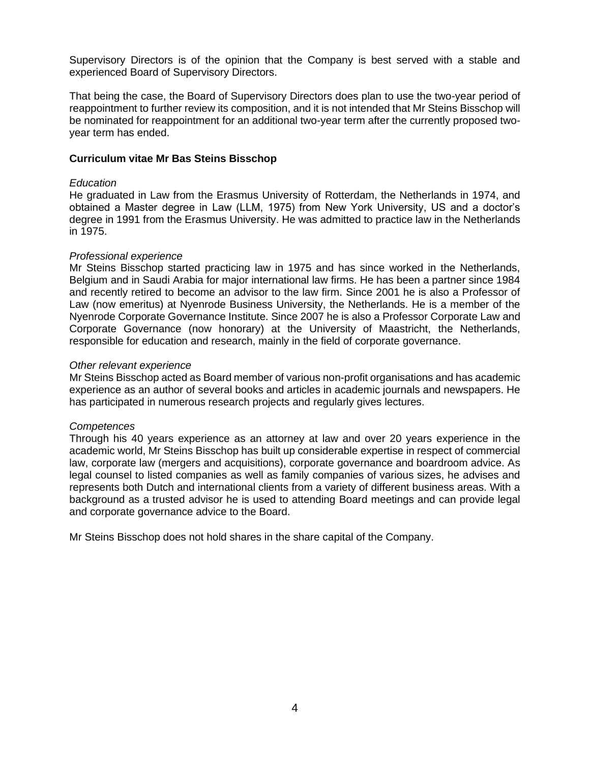Supervisory Directors is of the opinion that the Company is best served with a stable and experienced Board of Supervisory Directors.

That being the case, the Board of Supervisory Directors does plan to use the two-year period of reappointment to further review its composition, and it is not intended that Mr Steins Bisschop will be nominated for reappointment for an additional two-year term after the currently proposed twoyear term has ended.

## **Curriculum vitae Mr Bas Steins Bisschop**

### *Education*

He graduated in Law from the Erasmus University of Rotterdam, the Netherlands in 1974, and obtained a Master degree in Law (LLM, 1975) from New York University, US and a doctor's degree in 1991 from the Erasmus University. He was admitted to practice law in the Netherlands in 1975.

## *Professional experience*

Mr Steins Bisschop started practicing law in 1975 and has since worked in the Netherlands, Belgium and in Saudi Arabia for major international law firms. He has been a partner since 1984 and recently retired to become an advisor to the law firm. Since 2001 he is also a Professor of Law (now emeritus) at Nyenrode Business University, the Netherlands. He is a member of the Nyenrode Corporate Governance Institute. Since 2007 he is also a Professor Corporate Law and Corporate Governance (now honorary) at the University of Maastricht, the Netherlands, responsible for education and research, mainly in the field of corporate governance.

## *Other relevant experience*

Mr Steins Bisschop acted as Board member of various non-profit organisations and has academic experience as an author of several books and articles in academic journals and newspapers. He has participated in numerous research projects and regularly gives lectures.

# *Competences*

Through his 40 years experience as an attorney at law and over 20 years experience in the academic world, Mr Steins Bisschop has built up considerable expertise in respect of commercial law, corporate law (mergers and acquisitions), corporate governance and boardroom advice. As legal counsel to listed companies as well as family companies of various sizes, he advises and represents both Dutch and international clients from a variety of different business areas. With a background as a trusted advisor he is used to attending Board meetings and can provide legal and corporate governance advice to the Board.

Mr Steins Bisschop does not hold shares in the share capital of the Company.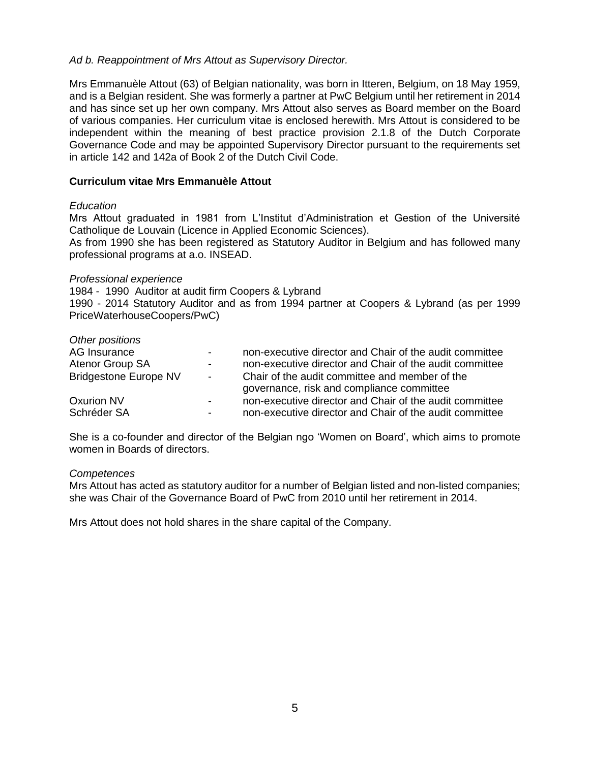# *Ad b. Reappointment of Mrs Attout as Supervisory Director.*

Mrs Emmanuèle Attout (63) of Belgian nationality, was born in Itteren, Belgium, on 18 May 1959, and is a Belgian resident. She was formerly a partner at PwC Belgium until her retirement in 2014 and has since set up her own company. Mrs Attout also serves as Board member on the Board of various companies. Her curriculum vitae is enclosed herewith. Mrs Attout is considered to be independent within the meaning of best practice provision 2.1.8 of the Dutch Corporate Governance Code and may be appointed Supervisory Director pursuant to the requirements set in article 142 and 142a of Book 2 of the Dutch Civil Code.

# **Curriculum vitae Mrs Emmanuèle Attout**

# *Education*

Mrs Attout graduated in 1981 from L'Institut d'Administration et Gestion of the Université Catholique de Louvain (Licence in Applied Economic Sciences).

As from 1990 she has been registered as Statutory Auditor in Belgium and has followed many professional programs at a.o. INSEAD.

## *Professional experience*

1984 - 1990 Auditor at audit firm Coopers & Lybrand 1990 - 2014 Statutory Auditor and as from 1994 partner at Coopers & Lybrand (as per 1999 PriceWaterhouseCoopers/PwC)

| Other positions              |                |                                                         |
|------------------------------|----------------|---------------------------------------------------------|
| AG Insurance                 | $\sim$         | non-executive director and Chair of the audit committee |
| Atenor Group SA              |                | non-executive director and Chair of the audit committee |
| <b>Bridgestone Europe NV</b> | $\sim$ $-$     | Chair of the audit committee and member of the          |
|                              |                | governance, risk and compliance committee               |
| Oxurion NV                   | $\blacksquare$ | non-executive director and Chair of the audit committee |
| Schréder SA                  | ۰.             | non-executive director and Chair of the audit committee |

She is a co-founder and director of the Belgian ngo 'Women on Board', which aims to promote women in Boards of directors.

### *Competences*

Mrs Attout has acted as statutory auditor for a number of Belgian listed and non-listed companies; she was Chair of the Governance Board of PwC from 2010 until her retirement in 2014.

Mrs Attout does not hold shares in the share capital of the Company.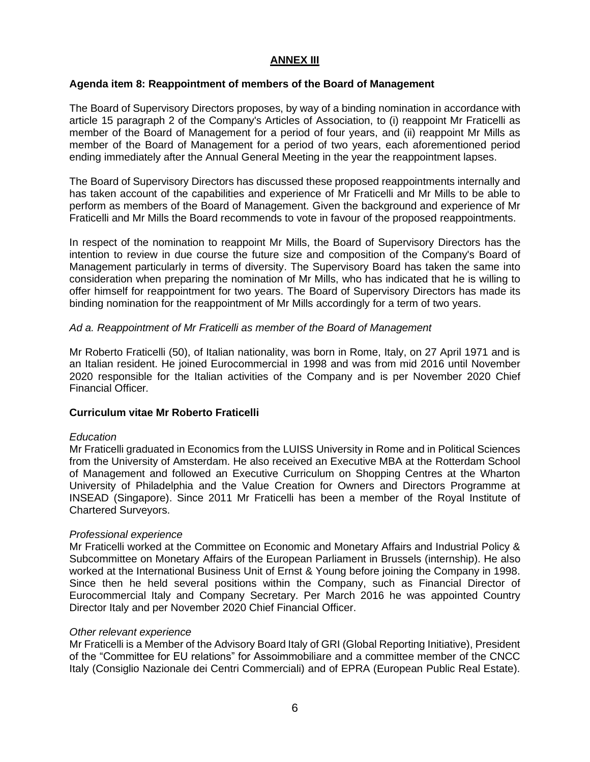# **ANNEX III**

# **Agenda item 8: Reappointment of members of the Board of Management**

The Board of Supervisory Directors proposes, by way of a binding nomination in accordance with article 15 paragraph 2 of the Company's Articles of Association, to (i) reappoint Mr Fraticelli as member of the Board of Management for a period of four years, and (ii) reappoint Mr Mills as member of the Board of Management for a period of two years, each aforementioned period ending immediately after the Annual General Meeting in the year the reappointment lapses.

The Board of Supervisory Directors has discussed these proposed reappointments internally and has taken account of the capabilities and experience of Mr Fraticelli and Mr Mills to be able to perform as members of the Board of Management. Given the background and experience of Mr Fraticelli and Mr Mills the Board recommends to vote in favour of the proposed reappointments.

In respect of the nomination to reappoint Mr Mills, the Board of Supervisory Directors has the intention to review in due course the future size and composition of the Company's Board of Management particularly in terms of diversity. The Supervisory Board has taken the same into consideration when preparing the nomination of Mr Mills, who has indicated that he is willing to offer himself for reappointment for two years. The Board of Supervisory Directors has made its binding nomination for the reappointment of Mr Mills accordingly for a term of two years.

# *Ad a. Reappointment of Mr Fraticelli as member of the Board of Management*

Mr Roberto Fraticelli (50), of Italian nationality, was born in Rome, Italy, on 27 April 1971 and is an Italian resident. He joined Eurocommercial in 1998 and was from mid 2016 until November 2020 responsible for the Italian activities of the Company and is per November 2020 Chief Financial Officer*.*

# **Curriculum vitae Mr Roberto Fraticelli**

# *Education*

Mr Fraticelli graduated in Economics from the LUISS University in Rome and in Political Sciences from the University of Amsterdam. He also received an Executive MBA at the Rotterdam School of Management and followed an Executive Curriculum on Shopping Centres at the Wharton University of Philadelphia and the Value Creation for Owners and Directors Programme at INSEAD (Singapore). Since 2011 Mr Fraticelli has been a member of the Royal Institute of Chartered Surveyors.

# *Professional experience*

Mr Fraticelli worked at the Committee on Economic and Monetary Affairs and Industrial Policy & Subcommittee on Monetary Affairs of the European Parliament in Brussels (internship). He also worked at the International Business Unit of Ernst & Young before joining the Company in 1998. Since then he held several positions within the Company, such as Financial Director of Eurocommercial Italy and Company Secretary. Per March 2016 he was appointed Country Director Italy and per November 2020 Chief Financial Officer.

# *Other relevant experience*

Mr Fraticelli is a Member of the Advisory Board Italy of GRI (Global Reporting Initiative), President of the "Committee for EU relations" for Assoimmobiliare and a committee member of the CNCC Italy (Consiglio Nazionale dei Centri Commerciali) and of EPRA (European Public Real Estate).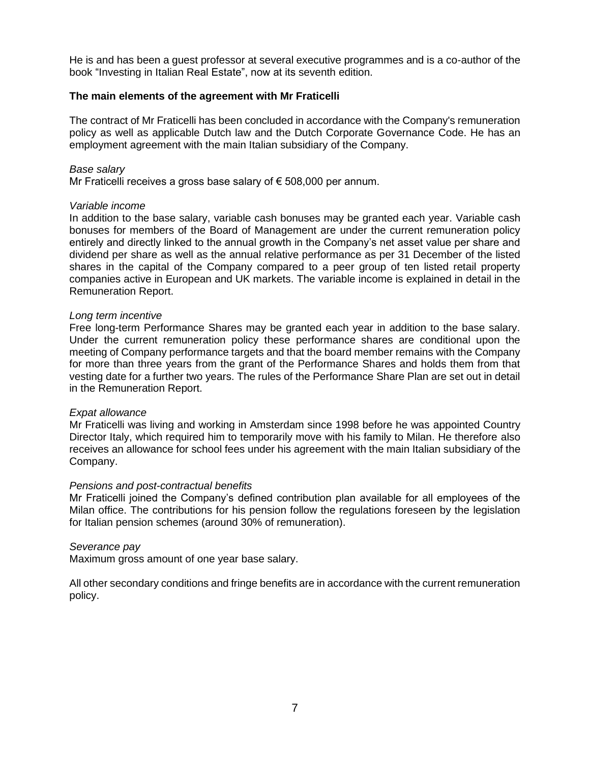He is and has been a guest professor at several executive programmes and is a co-author of the book "Investing in Italian Real Estate", now at its seventh edition.

## **The main elements of the agreement with Mr Fraticelli**

The contract of Mr Fraticelli has been concluded in accordance with the Company's remuneration policy as well as applicable Dutch law and the Dutch Corporate Governance Code. He has an employment agreement with the main Italian subsidiary of the Company.

## *Base salary*

Mr Fraticelli receives a gross base salary of  $\epsilon$  508,000 per annum.

## *Variable income*

In addition to the base salary, variable cash bonuses may be granted each year. Variable cash bonuses for members of the Board of Management are under the current remuneration policy entirely and directly linked to the annual growth in the Company's net asset value per share and dividend per share as well as the annual relative performance as per 31 December of the listed shares in the capital of the Company compared to a peer group of ten listed retail property companies active in European and UK markets. The variable income is explained in detail in the Remuneration Report.

## *Long term incentive*

Free long-term Performance Shares may be granted each year in addition to the base salary. Under the current remuneration policy these performance shares are conditional upon the meeting of Company performance targets and that the board member remains with the Company for more than three years from the grant of the Performance Shares and holds them from that vesting date for a further two years. The rules of the Performance Share Plan are set out in detail in the Remuneration Report.

# *Expat allowance*

Mr Fraticelli was living and working in Amsterdam since 1998 before he was appointed Country Director Italy, which required him to temporarily move with his family to Milan. He therefore also receives an allowance for school fees under his agreement with the main Italian subsidiary of the Company.

# *Pensions and post-contractual benefits*

Mr Fraticelli joined the Company's defined contribution plan available for all employees of the Milan office. The contributions for his pension follow the regulations foreseen by the legislation for Italian pension schemes (around 30% of remuneration).

### *Severance pay*

Maximum gross amount of one year base salary.

All other secondary conditions and fringe benefits are in accordance with the current remuneration policy.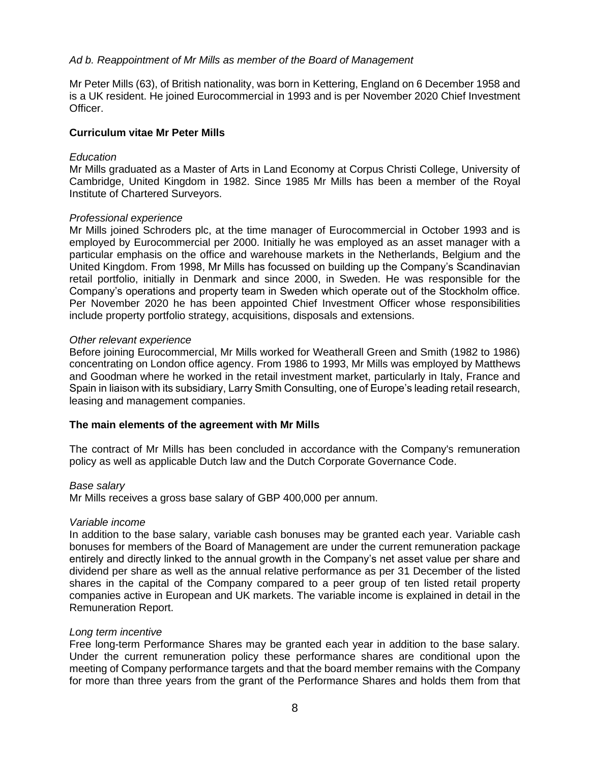# *Ad b. Reappointment of Mr Mills as member of the Board of Management*

Mr Peter Mills (63), of British nationality, was born in Kettering, England on 6 December 1958 and is a UK resident. He joined Eurocommercial in 1993 and is per November 2020 Chief Investment Officer.

# **Curriculum vitae Mr Peter Mills**

# *Education*

Mr Mills graduated as a Master of Arts in Land Economy at Corpus Christi College, University of Cambridge, United Kingdom in 1982. Since 1985 Mr Mills has been a member of the Royal Institute of Chartered Surveyors.

# *Professional experience*

Mr Mills joined Schroders plc, at the time manager of Eurocommercial in October 1993 and is employed by Eurocommercial per 2000. Initially he was employed as an asset manager with a particular emphasis on the office and warehouse markets in the Netherlands, Belgium and the United Kingdom. From 1998, Mr Mills has focussed on building up the Company's Scandinavian retail portfolio, initially in Denmark and since 2000, in Sweden. He was responsible for the Company's operations and property team in Sweden which operate out of the Stockholm office. Per November 2020 he has been appointed Chief Investment Officer whose responsibilities include property portfolio strategy, acquisitions, disposals and extensions.

# *Other relevant experience*

Before joining Eurocommercial, Mr Mills worked for Weatherall Green and Smith (1982 to 1986) concentrating on London office agency. From 1986 to 1993, Mr Mills was employed by Matthews and Goodman where he worked in the retail investment market, particularly in Italy, France and Spain in liaison with its subsidiary, Larry Smith Consulting, one of Europe's leading retail research, leasing and management companies.

# **The main elements of the agreement with Mr Mills**

The contract of Mr Mills has been concluded in accordance with the Company's remuneration policy as well as applicable Dutch law and the Dutch Corporate Governance Code.

# *Base salary*

Mr Mills receives a gross base salary of GBP 400,000 per annum.

# *Variable income*

In addition to the base salary, variable cash bonuses may be granted each year. Variable cash bonuses for members of the Board of Management are under the current remuneration package entirely and directly linked to the annual growth in the Company's net asset value per share and dividend per share as well as the annual relative performance as per 31 December of the listed shares in the capital of the Company compared to a peer group of ten listed retail property companies active in European and UK markets. The variable income is explained in detail in the Remuneration Report.

### *Long term incentive*

Free long-term Performance Shares may be granted each year in addition to the base salary. Under the current remuneration policy these performance shares are conditional upon the meeting of Company performance targets and that the board member remains with the Company for more than three years from the grant of the Performance Shares and holds them from that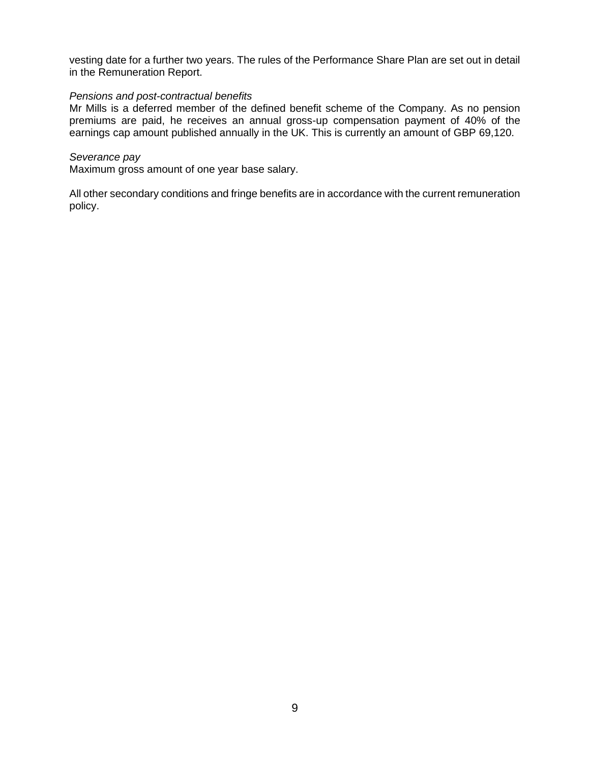vesting date for a further two years. The rules of the Performance Share Plan are set out in detail in the Remuneration Report.

## *Pensions and post-contractual benefits*

Mr Mills is a deferred member of the defined benefit scheme of the Company. As no pension premiums are paid, he receives an annual gross-up compensation payment of 40% of the earnings cap amount published annually in the UK. This is currently an amount of GBP 69,120.

# *Severance pay*

Maximum gross amount of one year base salary.

All other secondary conditions and fringe benefits are in accordance with the current remuneration policy.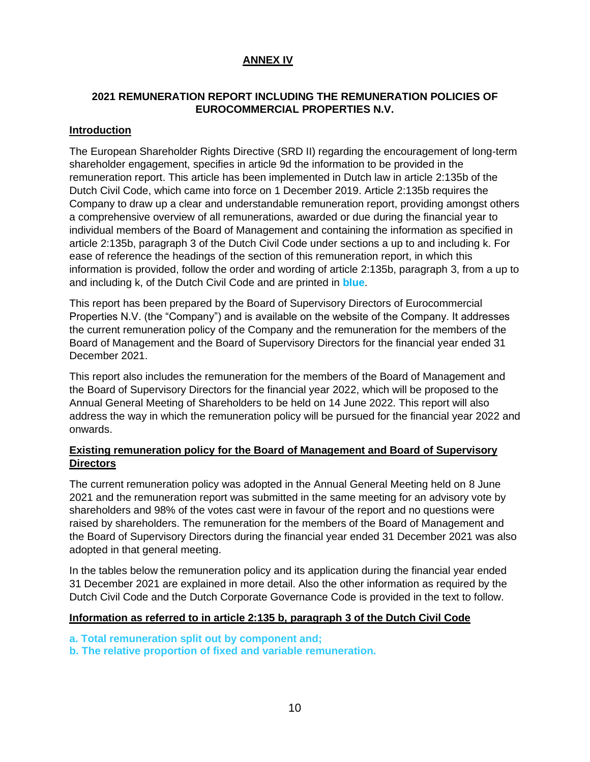# **ANNEX IV**

# **2021 REMUNERATION REPORT INCLUDING THE REMUNERATION POLICIES OF EUROCOMMERCIAL PROPERTIES N.V.**

# **Introduction**

The European Shareholder Rights Directive (SRD II) regarding the encouragement of long-term shareholder engagement, specifies in article 9d the information to be provided in the remuneration report. This article has been implemented in Dutch law in article 2:135b of the Dutch Civil Code, which came into force on 1 December 2019. Article 2:135b requires the Company to draw up a clear and understandable remuneration report, providing amongst others a comprehensive overview of all remunerations, awarded or due during the financial year to individual members of the Board of Management and containing the information as specified in article 2:135b, paragraph 3 of the Dutch Civil Code under sections a up to and including k. For ease of reference the headings of the section of this remuneration report, in which this information is provided, follow the order and wording of article 2:135b, paragraph 3, from a up to and including k, of the Dutch Civil Code and are printed in **blue**.

This report has been prepared by the Board of Supervisory Directors of Eurocommercial Properties N.V. (the "Company") and is available on the website of the Company. It addresses the current remuneration policy of the Company and the remuneration for the members of the Board of Management and the Board of Supervisory Directors for the financial year ended 31 December 2021.

This report also includes the remuneration for the members of the Board of Management and the Board of Supervisory Directors for the financial year 2022, which will be proposed to the Annual General Meeting of Shareholders to be held on 14 June 2022. This report will also address the way in which the remuneration policy will be pursued for the financial year 2022 and onwards.

# **Existing remuneration policy for the Board of Management and Board of Supervisory Directors**

The current remuneration policy was adopted in the Annual General Meeting held on 8 June 2021 and the remuneration report was submitted in the same meeting for an advisory vote by shareholders and 98% of the votes cast were in favour of the report and no questions were raised by shareholders. The remuneration for the members of the Board of Management and the Board of Supervisory Directors during the financial year ended 31 December 2021 was also adopted in that general meeting.

In the tables below the remuneration policy and its application during the financial year ended 31 December 2021 are explained in more detail. Also the other information as required by the Dutch Civil Code and the Dutch Corporate Governance Code is provided in the text to follow.

# **Information as referred to in article 2:135 b, paragraph 3 of the Dutch Civil Code**

**a. Total remuneration split out by component and;**

**b. The relative proportion of fixed and variable remuneration.**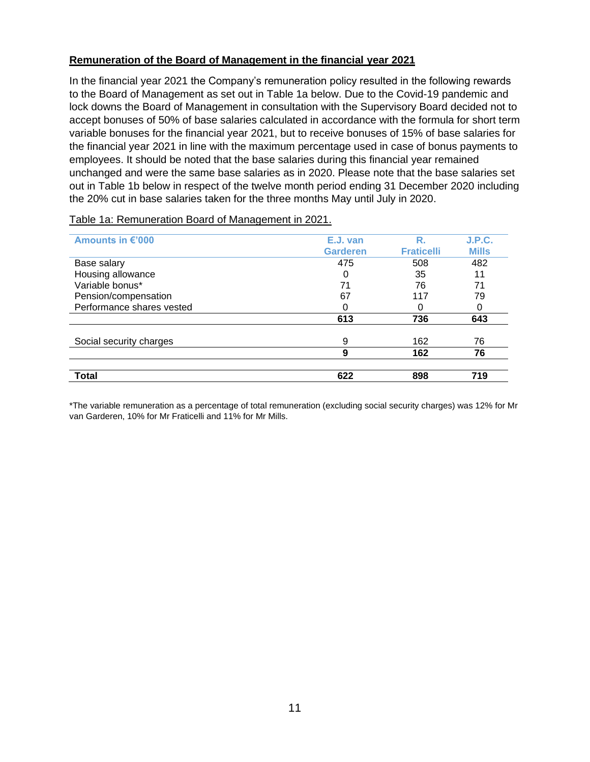# **Remuneration of the Board of Management in the financial year 2021**

In the financial year 2021 the Company's remuneration policy resulted in the following rewards to the Board of Management as set out in Table 1a below. Due to the Covid-19 pandemic and lock downs the Board of Management in consultation with the Supervisory Board decided not to accept bonuses of 50% of base salaries calculated in accordance with the formula for short term variable bonuses for the financial year 2021, but to receive bonuses of 15% of base salaries for the financial year 2021 in line with the maximum percentage used in case of bonus payments to employees. It should be noted that the base salaries during this financial year remained unchanged and were the same base salaries as in 2020. Please note that the base salaries set out in Table 1b below in respect of the twelve month period ending 31 December 2020 including the 20% cut in base salaries taken for the three months May until July in 2020.

| Amounts in €'000          | E.J. van        | R.                | <b>J.P.C.</b> |
|---------------------------|-----------------|-------------------|---------------|
|                           | <b>Garderen</b> | <b>Fraticelli</b> | <b>Mills</b>  |
| Base salary               | 475             | 508               | 482           |
| Housing allowance         | 0               | 35                | 11            |
| Variable bonus*           | 71              | 76                | 71            |
| Pension/compensation      | 67              | 117               | 79            |
| Performance shares vested |                 |                   | 0             |
|                           | 613             | 736               | 643           |
|                           |                 |                   |               |
| Social security charges   | 9               | 162               | 76            |
|                           | 9               | 162               | 76            |
|                           |                 |                   |               |
| Total                     | 622             | 898               | 719           |

Table 1a: Remuneration Board of Management in 2021.

\*The variable remuneration as a percentage of total remuneration (excluding social security charges) was 12% for Mr van Garderen, 10% for Mr Fraticelli and 11% for Mr Mills.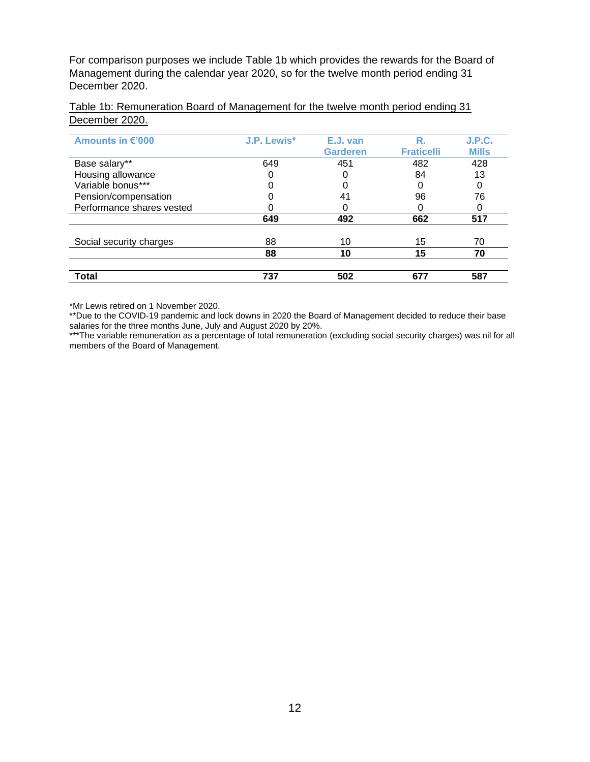For comparison purposes we include Table 1b which provides the rewards for the Board of Management during the calendar year 2020, so for the twelve month period ending 31 December 2020.

Table 1b: Remuneration Board of Management for the twelve month period ending 31 December 2020.

| Amounts in €'000          | <b>J.P. Lewis*</b> | E.J. van        | R.                | <b>J.P.C.</b> |
|---------------------------|--------------------|-----------------|-------------------|---------------|
|                           |                    | <b>Garderen</b> | <b>Fraticelli</b> | <b>Mills</b>  |
| Base salary**             | 649                | 451             | 482               | 428           |
| Housing allowance         |                    |                 | 84                | 13            |
| Variable bonus***         |                    |                 |                   |               |
| Pension/compensation      |                    | 41              | 96                | 76            |
| Performance shares vested |                    |                 |                   |               |
|                           | 649                | 492             | 662               | 517           |
|                           |                    |                 |                   |               |
| Social security charges   | 88                 | 10              | 15                | 70            |
|                           | 88                 | 10              | 15                | 70            |
|                           |                    |                 |                   |               |
| Total                     | 737                | 502             | 677               | 587           |

\*Mr Lewis retired on 1 November 2020.

\*\*Due to the COVID-19 pandemic and lock downs in 2020 the Board of Management decided to reduce their base salaries for the three months June, July and August 2020 by 20%.

\*\*\*The variable remuneration as a percentage of total remuneration (excluding social security charges) was nil for all members of the Board of Management.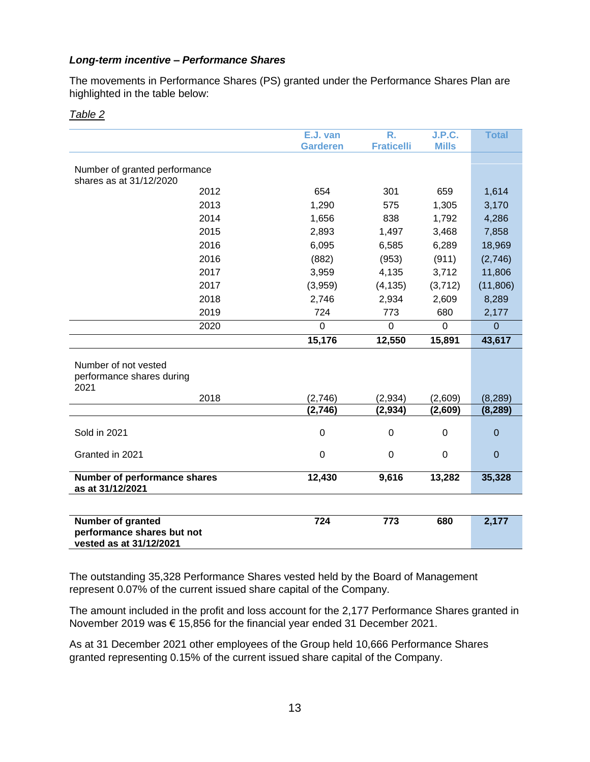# *Long-term incentive – Performance Shares*

The movements in Performance Shares (PS) granted under the Performance Shares Plan are highlighted in the table below:

|                                                          | E.J. van           | $\overline{\mathsf{R}}$ . | <b>J.P.C.</b>      | <b>Total</b>         |
|----------------------------------------------------------|--------------------|---------------------------|--------------------|----------------------|
|                                                          | <b>Garderen</b>    | <b>Fraticelli</b>         | <b>Mills</b>       |                      |
|                                                          |                    |                           |                    |                      |
| Number of granted performance<br>shares as at 31/12/2020 |                    |                           |                    |                      |
| 2012                                                     | 654                | 301                       | 659                | 1,614                |
| 2013                                                     | 1,290              | 575                       | 1,305              | 3,170                |
| 2014                                                     | 1,656              | 838                       | 1,792              | 4,286                |
| 2015                                                     | 2,893              | 1,497                     | 3,468              | 7,858                |
| 2016                                                     | 6,095              | 6,585                     | 6,289              | 18,969               |
| 2016                                                     | (882)              | (953)                     | (911)              | (2,746)              |
| 2017                                                     | 3,959              | 4,135                     | 3,712              | 11,806               |
| 2017                                                     | (3,959)            | (4, 135)                  | (3,712)            | (11,806)             |
| 2018                                                     | 2,746              | 2,934                     | 2,609              | 8,289                |
| 2019                                                     | 724                | 773                       | 680                | 2,177                |
| 2020                                                     | 0                  | $\boldsymbol{0}$          | 0                  | $\mathbf 0$          |
|                                                          | 15,176             | 12,550                    | 15,891             | 43,617               |
|                                                          |                    |                           |                    |                      |
| Number of not vested                                     |                    |                           |                    |                      |
| performance shares during                                |                    |                           |                    |                      |
| 2021<br>2018                                             |                    |                           |                    |                      |
|                                                          | (2,746)<br>(2,746) | (2,934)<br>(2, 934)       | (2,609)<br>(2,609) | (8, 289)<br>(8, 289) |
|                                                          |                    |                           |                    |                      |
| Sold in 2021                                             | 0                  | $\boldsymbol{0}$          | 0                  | $\mathbf 0$          |
|                                                          |                    |                           |                    |                      |
| Granted in 2021                                          | $\mathbf 0$        | $\mathbf 0$               | $\mathbf 0$        | $\mathbf 0$          |
|                                                          |                    |                           |                    |                      |
| <b>Number of performance shares</b><br>as at 31/12/2021  | 12,430             | 9,616                     | 13,282             | 35,328               |
|                                                          |                    |                           |                    |                      |
|                                                          |                    |                           |                    |                      |
| Number of granted                                        | 724                | 773                       | 680                | 2,177                |
| performance shares but not                               |                    |                           |                    |                      |
| vested as at 31/12/2021                                  |                    |                           |                    |                      |

### *Table 2*

The outstanding 35,328 Performance Shares vested held by the Board of Management represent 0.07% of the current issued share capital of the Company.

The amount included in the profit and loss account for the 2,177 Performance Shares granted in November 2019 was € 15,856 for the financial year ended 31 December 2021.

As at 31 December 2021 other employees of the Group held 10,666 Performance Shares granted representing 0.15% of the current issued share capital of the Company.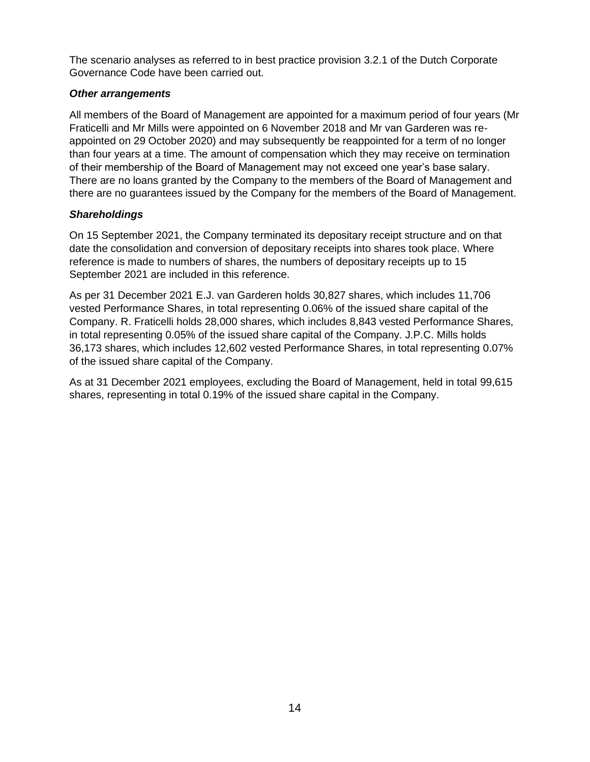The scenario analyses as referred to in best practice provision 3.2.1 of the Dutch Corporate Governance Code have been carried out.

# *Other arrangements*

All members of the Board of Management are appointed for a maximum period of four years (Mr Fraticelli and Mr Mills were appointed on 6 November 2018 and Mr van Garderen was reappointed on 29 October 2020) and may subsequently be reappointed for a term of no longer than four years at a time. The amount of compensation which they may receive on termination of their membership of the Board of Management may not exceed one year's base salary. There are no loans granted by the Company to the members of the Board of Management and there are no guarantees issued by the Company for the members of the Board of Management.

# *Shareholdings*

On 15 September 2021, the Company terminated its depositary receipt structure and on that date the consolidation and conversion of depositary receipts into shares took place. Where reference is made to numbers of shares, the numbers of depositary receipts up to 15 September 2021 are included in this reference.

As per 31 December 2021 E.J. van Garderen holds 30,827 shares, which includes 11,706 vested Performance Shares, in total representing 0.06% of the issued share capital of the Company. R. Fraticelli holds 28,000 shares, which includes 8,843 vested Performance Shares, in total representing 0.05% of the issued share capital of the Company. J.P.C. Mills holds 36,173 shares, which includes 12,602 vested Performance Shares, in total representing 0.07% of the issued share capital of the Company.

As at 31 December 2021 employees, excluding the Board of Management, held in total 99,615 shares, representing in total 0.19% of the issued share capital in the Company.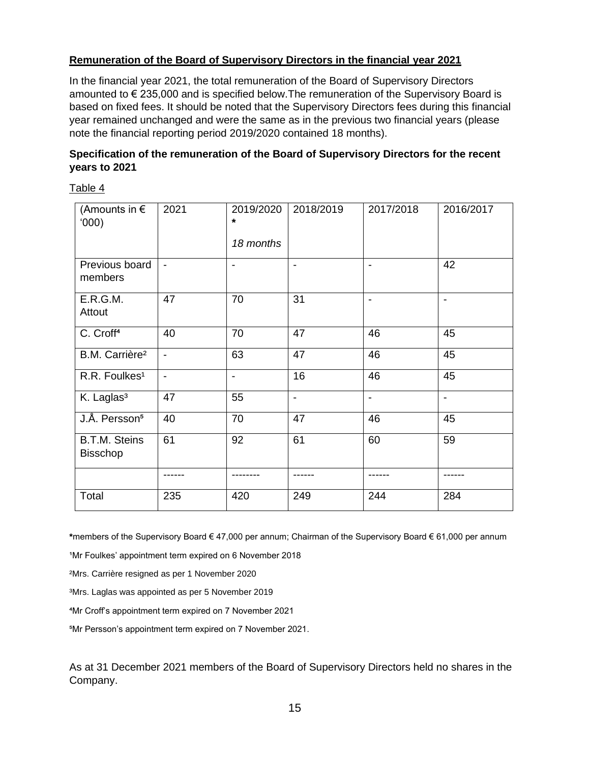# **Remuneration of the Board of Supervisory Directors in the financial year 2021**

In the financial year 2021, the total remuneration of the Board of Supervisory Directors amounted to € 235,000 and is specified below.The remuneration of the Supervisory Board is based on fixed fees. It should be noted that the Supervisory Directors fees during this financial year remained unchanged and were the same as in the previous two financial years (please note the financial reporting period 2019/2020 contained 18 months).

# **Specification of the remuneration of the Board of Supervisory Directors for the recent years to 2021**

Table 4

| (Amounts in $\epsilon$<br>(000)         | 2021           | 2019/2020<br>$\star$ | 2018/2019                | 2017/2018                | 2016/2017      |
|-----------------------------------------|----------------|----------------------|--------------------------|--------------------------|----------------|
|                                         |                | 18 months            |                          |                          |                |
| Previous board<br>members               | $\blacksquare$ |                      |                          | $\blacksquare$           | 42             |
| E.R.G.M.<br>Attout                      | 47             | 70                   | 31                       | $\blacksquare$           |                |
| C. Croff <sup>4</sup>                   | 40             | 70                   | 47                       | 46                       | 45             |
| B.M. Carrière <sup>2</sup>              | $\blacksquare$ | 63                   | 47                       | 46                       | 45             |
| R.R. Foulkes <sup>1</sup>               | $\blacksquare$ | $\blacksquare$       | 16                       | 46                       | 45             |
| K. Laglas <sup>3</sup>                  | 47             | 55                   | $\overline{\phantom{a}}$ | $\overline{\phantom{a}}$ | $\blacksquare$ |
| J.Å. Persson <sup>5</sup>               | 40             | 70                   | 47                       | 46                       | 45             |
| <b>B.T.M. Steins</b><br><b>Bisschop</b> | 61             | 92                   | 61                       | 60                       | 59             |
|                                         |                |                      |                          |                          |                |
| Total                                   | 235            | 420                  | 249                      | 244                      | 284            |

**\***members of the Supervisory Board € 47,000 per annum; Chairman of the Supervisory Board € 61,000 per annum

<sup>1</sup>Mr Foulkes' appointment term expired on 6 November 2018

²Mrs. Carrière resigned as per 1 November 2020

³Mrs. Laglas was appointed as per 5 November 2019

⁴Mr Croff's appointment term expired on 7 November 2021

⁵Mr Persson's appointment term expired on 7 November 2021.

As at 31 December 2021 members of the Board of Supervisory Directors held no shares in the Company.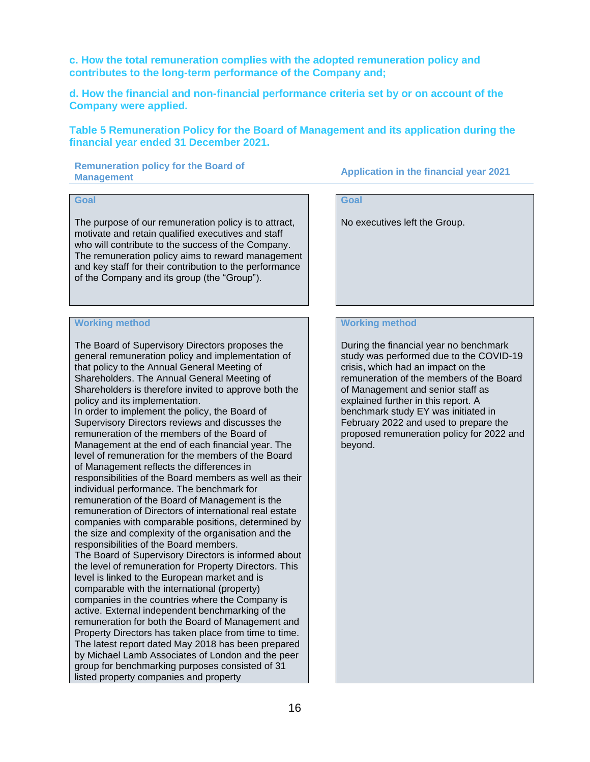**c. How the total remuneration complies with the adopted remuneration policy and contributes to the long-term performance of the Company and;**

**d. How the financial and non-financial performance criteria set by or on account of the Company were applied.** 

**Table 5 Remuneration Policy for the Board of Management and its application during the financial year ended 31 December 2021.**

**Remuneration policy for the Board of Management Application in the financial year 2021**

# **Goal**

The purpose of our remuneration policy is to attract, motivate and retain qualified executives and staff who will contribute to the success of the Company. The remuneration policy aims to reward management and key staff for their contribution to the performance of the Company and its group (the "Group").

#### **Working method**

The Board of Supervisory Directors proposes the general remuneration policy and implementation of that policy to the Annual General Meeting of Shareholders. The Annual General Meeting of Shareholders is therefore invited to approve both the policy and its implementation.

In order to implement the policy, the Board of Supervisory Directors reviews and discusses the remuneration of the members of the Board of Management at the end of each financial year. The level of remuneration for the members of the Board of Management reflects the differences in responsibilities of the Board members as well as their individual performance. The benchmark for remuneration of the Board of Management is the remuneration of Directors of international real estate companies with comparable positions, determined by the size and complexity of the organisation and the responsibilities of the Board members. The Board of Supervisory Directors is informed about the level of remuneration for Property Directors. This level is linked to the European market and is comparable with the international (property) companies in the countries where the Company is active. External independent benchmarking of the remuneration for both the Board of Management and Property Directors has taken place from time to time. The latest report dated May 2018 has been prepared by Michael Lamb Associates of London and the peer group for benchmarking purposes consisted of 31 listed property companies and property

# **Goal**

No executives left the Group.

#### **Working method**

During the financial year no benchmark study was performed due to the COVID-19 crisis, which had an impact on the remuneration of the members of the Board of Management and senior staff as explained further in this report. A benchmark study EY was initiated in February 2022 and used to prepare the proposed remuneration policy for 2022 and beyond.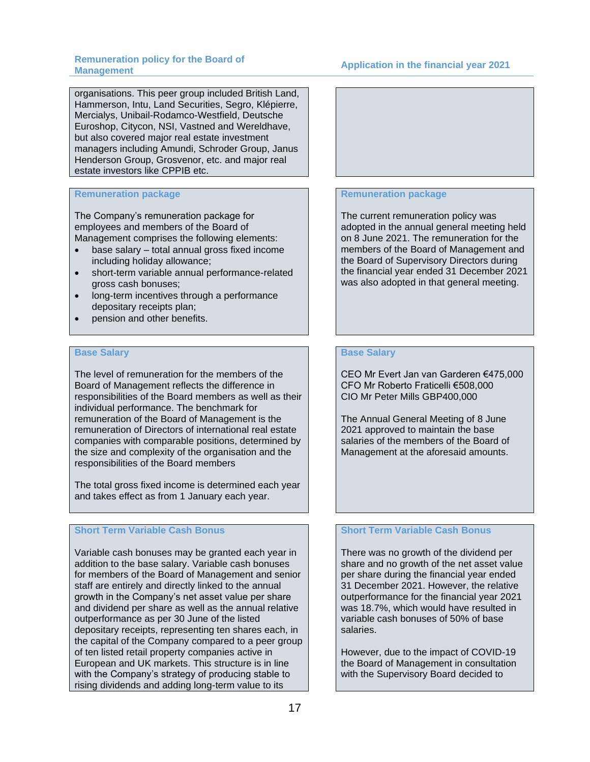organisations. This peer group included British Land, Hammerson, Intu, Land Securities, Segro, Klépierre, Mercialys, Unibail-Rodamco-Westfield, Deutsche Euroshop, Citycon, NSI, Vastned and Wereldhave, but also covered major real estate investment managers including Amundi, Schroder Group, Janus Henderson Group, Grosvenor, etc. and major real estate investors like CPPIB etc.

### **Remuneration package**

The Company's remuneration package for employees and members of the Board of Management comprises the following elements:

- base salary total annual gross fixed income including holiday allowance;
- short-term variable annual performance-related gross cash bonuses;
- long-term incentives through a performance depositary receipts plan;
- pension and other benefits.

#### **Base Salary**

The level of remuneration for the members of the Board of Management reflects the difference in responsibilities of the Board members as well as their individual performance. The benchmark for remuneration of the Board of Management is the remuneration of Directors of international real estate companies with comparable positions, determined by the size and complexity of the organisation and the responsibilities of the Board members

The total gross fixed income is determined each year and takes effect as from 1 January each year.

### **Short Term Variable Cash Bonus**

Variable cash bonuses may be granted each year in addition to the base salary. Variable cash bonuses for members of the Board of Management and senior staff are entirely and directly linked to the annual growth in the Company's net asset value per share and dividend per share as well as the annual relative outperformance as per 30 June of the listed depositary receipts, representing ten shares each, in the capital of the Company compared to a peer group of ten listed retail property companies active in European and UK markets. This structure is in line with the Company's strategy of producing stable to rising dividends and adding long-term value to its



#### **Remuneration package**

The current remuneration policy was adopted in the annual general meeting held on 8 June 2021. The remuneration for the members of the Board of Management and the Board of Supervisory Directors during the financial year ended 31 December 2021 was also adopted in that general meeting.

#### **Base Salary**

CEO Mr Evert Jan van Garderen €475,000 CFO Mr Roberto Fraticelli €508,000 CIO Mr Peter Mills GBP400,000

The Annual General Meeting of 8 June 2021 approved to maintain the base salaries of the members of the Board of Management at the aforesaid amounts.

### **Short Term Variable Cash Bonus**

There was no growth of the dividend per share and no growth of the net asset value per share during the financial year ended 31 December 2021. However, the relative outperformance for the financial year 2021 was 18.7%, which would have resulted in variable cash bonuses of 50% of base salaries.

However, due to the impact of COVID-19 the Board of Management in consultation with the Supervisory Board decided to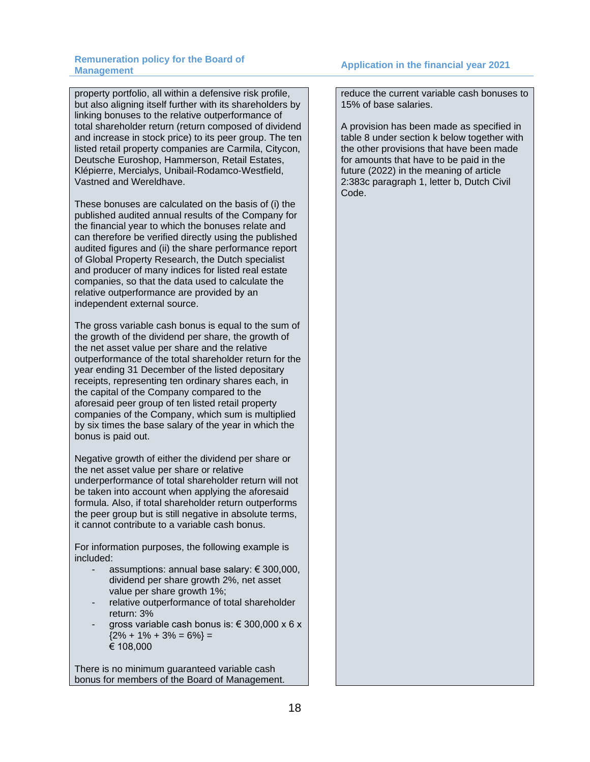property portfolio, all within a defensive risk profile, but also aligning itself further with its shareholders by linking bonuses to the relative outperformance of total shareholder return (return composed of dividend and increase in stock price) to its peer group. The ten listed retail property companies are Carmila, Citycon, Deutsche Euroshop, Hammerson, Retail Estates, Klépierre, Mercialys, Unibail-Rodamco-Westfield, Vastned and Wereldhave.

These bonuses are calculated on the basis of (i) the published audited annual results of the Company for the financial year to which the bonuses relate and can therefore be verified directly using the published audited figures and (ii) the share performance report of Global Property Research, the Dutch specialist and producer of many indices for listed real estate companies, so that the data used to calculate the relative outperformance are provided by an independent external source.

The gross variable cash bonus is equal to the sum of the growth of the dividend per share, the growth of the net asset value per share and the relative outperformance of the total shareholder return for the year ending 31 December of the listed depositary receipts, representing ten ordinary shares each, in the capital of the Company compared to the aforesaid peer group of ten listed retail property companies of the Company, which sum is multiplied by six times the base salary of the year in which the bonus is paid out.

Negative growth of either the dividend per share or the net asset value per share or relative underperformance of total shareholder return will not be taken into account when applying the aforesaid formula. Also, if total shareholder return outperforms the peer group but is still negative in absolute terms, it cannot contribute to a variable cash bonus.

For information purposes, the following example is included:

- assumptions: annual base salary:  $\epsilon$  300,000, dividend per share growth 2%, net asset value per share growth 1%;
- relative outperformance of total shareholder return: 3%
- gross variable cash bonus is:  $\epsilon$  300,000 x 6 x  ${2\% + 1\% + 3\% = 6\%}$  = € 108,000

There is no minimum guaranteed variable cash bonus for members of the Board of Management. reduce the current variable cash bonuses to 15% of base salaries.

A provision has been made as specified in table 8 under section k below together with the other provisions that have been made for amounts that have to be paid in the future (2022) in the meaning of article 2:383c paragraph 1, letter b, Dutch Civil Code.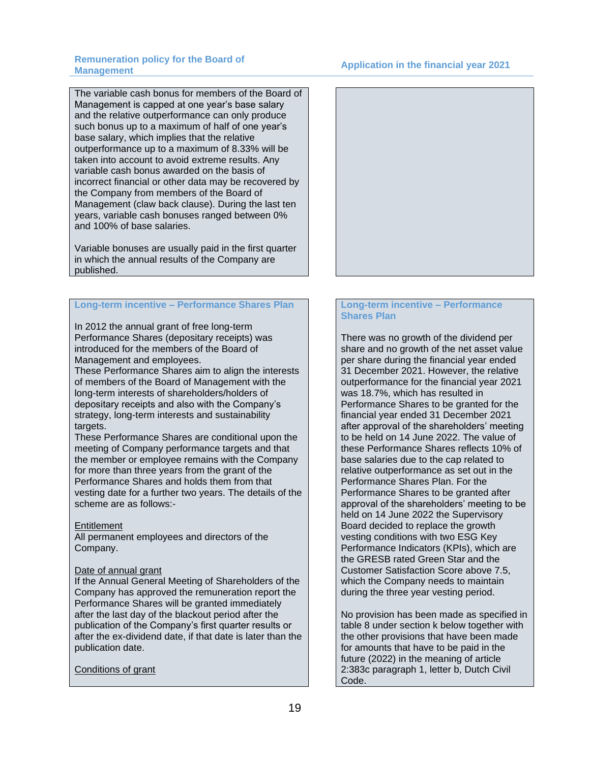The variable cash bonus for members of the Board of Management is capped at one year's base salary and the relative outperformance can only produce such bonus up to a maximum of half of one year's base salary, which implies that the relative outperformance up to a maximum of 8.33% will be taken into account to avoid extreme results. Any variable cash bonus awarded on the basis of incorrect financial or other data may be recovered by the Company from members of the Board of Management (claw back clause). During the last ten years, variable cash bonuses ranged between 0% and 100% of base salaries.

Variable bonuses are usually paid in the first quarter in which the annual results of the Company are published.

#### **Long-term incentive – Performance Shares Plan**

In 2012 the annual grant of free long-term Performance Shares (depositary receipts) was introduced for the members of the Board of Management and employees.

These Performance Shares aim to align the interests of members of the Board of Management with the long-term interests of shareholders/holders of depositary receipts and also with the Company's strategy, long-term interests and sustainability targets.

These Performance Shares are conditional upon the meeting of Company performance targets and that the member or employee remains with the Company for more than three years from the grant of the Performance Shares and holds them from that vesting date for a further two years. The details of the scheme are as follows:-

### **Entitlement**

All permanent employees and directors of the Company.

#### Date of annual grant

If the Annual General Meeting of Shareholders of the Company has approved the remuneration report the Performance Shares will be granted immediately after the last day of the blackout period after the publication of the Company's first quarter results or after the ex-dividend date, if that date is later than the publication date.

### Conditions of grant



#### **Long-term incentive – Performance Shares Plan**

There was no growth of the dividend per share and no growth of the net asset value per share during the financial year ended 31 December 2021. However, the relative outperformance for the financial year 2021 was 18.7%, which has resulted in Performance Shares to be granted for the financial year ended 31 December 2021 after approval of the shareholders' meeting to be held on 14 June 2022. The value of these Performance Shares reflects 10% of base salaries due to the cap related to relative outperformance as set out in the Performance Shares Plan. For the Performance Shares to be granted after approval of the shareholders' meeting to be held on 14 June 2022 the Supervisory Board decided to replace the growth vesting conditions with two ESG Key Performance Indicators (KPIs), which are the GRESB rated Green Star and the Customer Satisfaction Score above 7.5, which the Company needs to maintain during the three year vesting period.

No provision has been made as specified in table 8 under section k below together with the other provisions that have been made for amounts that have to be paid in the future (2022) in the meaning of article 2:383c paragraph 1, letter b, Dutch Civil Code.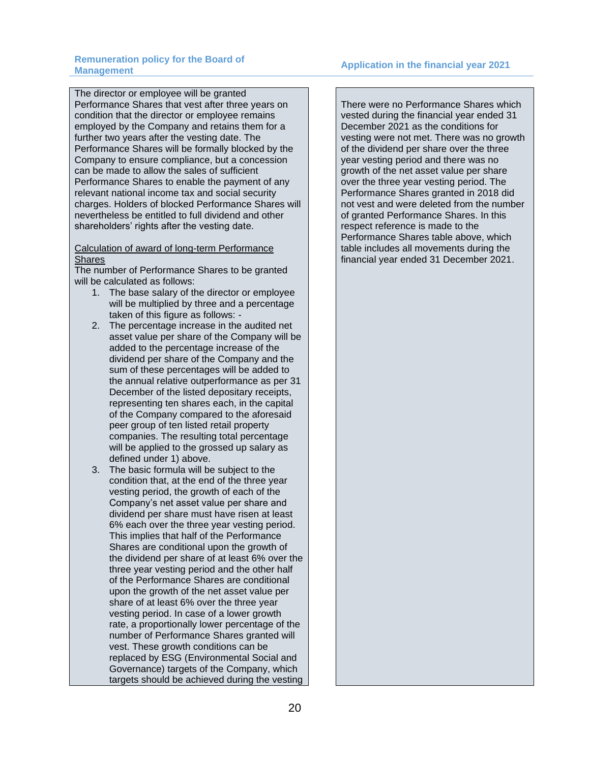The director or employee will be granted Performance Shares that vest after three years on condition that the director or employee remains employed by the Company and retains them for a further two years after the vesting date. The Performance Shares will be formally blocked by the Company to ensure compliance, but a concession can be made to allow the sales of sufficient Performance Shares to enable the payment of any relevant national income tax and social security charges. Holders of blocked Performance Shares will nevertheless be entitled to full dividend and other shareholders' rights after the vesting date.

#### Calculation of award of long-term Performance **Shares**

The number of Performance Shares to be granted will be calculated as follows:

- 1. The base salary of the director or employee will be multiplied by three and a percentage taken of this figure as follows: -
- 2. The percentage increase in the audited net asset value per share of the Company will be added to the percentage increase of the dividend per share of the Company and the sum of these percentages will be added to the annual relative outperformance as per 31 December of the listed depositary receipts, representing ten shares each, in the capital of the Company compared to the aforesaid peer group of ten listed retail property companies. The resulting total percentage will be applied to the grossed up salary as defined under 1) above.
- 3. The basic formula will be subject to the condition that, at the end of the three year vesting period, the growth of each of the Company's net asset value per share and dividend per share must have risen at least 6% each over the three year vesting period. This implies that half of the Performance Shares are conditional upon the growth of the dividend per share of at least 6% over the three year vesting period and the other half of the Performance Shares are conditional upon the growth of the net asset value per share of at least 6% over the three year vesting period. In case of a lower growth rate, a proportionally lower percentage of the number of Performance Shares granted will vest. These growth conditions can be replaced by ESG (Environmental Social and Governance) targets of the Company, which targets should be achieved during the vesting

There were no Performance Shares which vested during the financial year ended 31 December 2021 as the conditions for vesting were not met. There was no growth of the dividend per share over the three year vesting period and there was no growth of the net asset value per share over the three year vesting period. The Performance Shares granted in 2018 did not vest and were deleted from the number of granted Performance Shares. In this respect reference is made to the Performance Shares table above, which table includes all movements during the financial year ended 31 December 2021.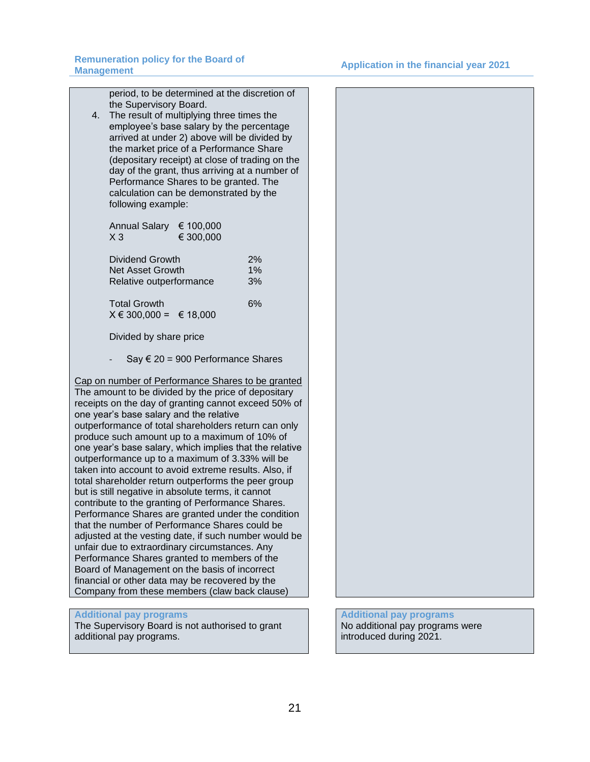period, to be determined at the discretion of the Supervisory Board. 4. The result of multiplying three times the employee's base salary by the percentage arrived at under 2) above will be divided by

the market price of a Performance Share (depositary receipt) at close of trading on the day of the grant, thus arriving at a number of Performance Shares to be granted. The calculation can be demonstrated by the following example:

Annual Salary € 100,000  $X$  3  $\epsilon$  300,000

| Dividend Growth                              | 2% |
|----------------------------------------------|----|
| Net Asset Growth                             | 1% |
| Relative outperformance                      | 3% |
| Total Growth<br>$X \in 300,000 = \in 18,000$ | 6% |

Divided by share price

 $Say € 20 = 900$  Performance Shares

Cap on number of Performance Shares to be granted The amount to be divided by the price of depositary receipts on the day of granting cannot exceed 50% of one year's base salary and the relative outperformance of total shareholders return can only produce such amount up to a maximum of 10% of one year's base salary, which implies that the relative outperformance up to a maximum of 3.33% will be taken into account to avoid extreme results. Also, if total shareholder return outperforms the peer group but is still negative in absolute terms, it cannot contribute to the granting of Performance Shares. Performance Shares are granted under the condition that the number of Performance Shares could be adjusted at the vesting date, if such number would be unfair due to extraordinary circumstances. Any Performance Shares granted to members of the Board of Management on the basis of incorrect financial or other data may be recovered by the Company from these members (claw back clause)

## **Additional pay programs**

The Supervisory Board is not authorised to grant additional pay programs.

### **Additional pay programs** No additional pay programs were introduced during 2021.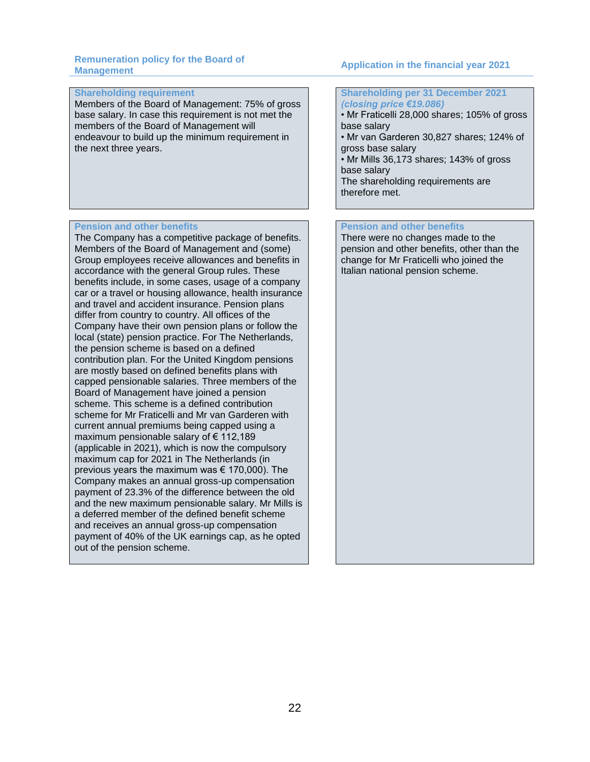### **Shareholding requirement**

Members of the Board of Management: 75% of gross base salary. In case this requirement is not met the members of the Board of Management will endeavour to build up the minimum requirement in the next three years.

### **Pension and other benefits**

The Company has a competitive package of benefits. Members of the Board of Management and (some) Group employees receive allowances and benefits in accordance with the general Group rules. These benefits include, in some cases, usage of a company car or a travel or housing allowance, health insurance and travel and accident insurance. Pension plans differ from country to country. All offices of the Company have their own pension plans or follow the local (state) pension practice. For The Netherlands, the pension scheme is based on a defined contribution plan. For the United Kingdom pensions are mostly based on defined benefits plans with capped pensionable salaries. Three members of the Board of Management have joined a pension scheme. This scheme is a defined contribution scheme for Mr Fraticelli and Mr van Garderen with current annual premiums being capped using a maximum pensionable salary of € 112,189 (applicable in 2021), which is now the compulsory maximum cap for 2021 in The Netherlands (in previous years the maximum was  $\epsilon$  170,000). The Company makes an annual gross-up compensation payment of 23.3% of the difference between the old and the new maximum pensionable salary. Mr Mills is a deferred member of the defined benefit scheme and receives an annual gross-up compensation payment of 40% of the UK earnings cap, as he opted out of the pension scheme.

**Shareholding per 31 December 2021** *(closing price €19.086)* • Mr Fraticelli 28,000 shares; 105% of gross

- base salary
- Mr van Garderen 30,827 shares; 124% of gross base salary

• Mr Mills 36,173 shares; 143% of gross base salary The shareholding requirements are

therefore met.

### **Pension and other benefits**

There were no changes made to the pension and other benefits, other than the change for Mr Fraticelli who joined the Italian national pension scheme.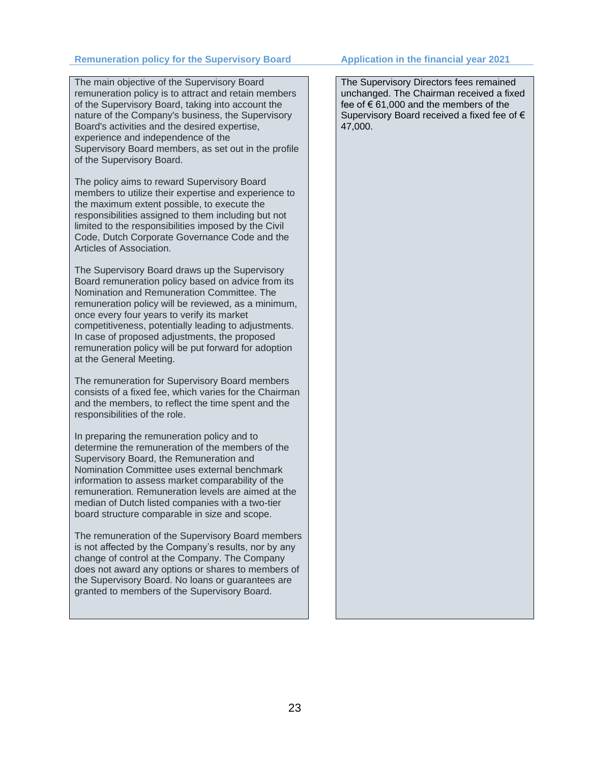### **Remuneration policy for the Supervisory Board Application in the financial year 2021**

The main objective of the Supervisory Board remuneration policy is to attract and retain members of the Supervisory Board, taking into account the nature of the Company's business, the Supervisory Board's activities and the desired expertise, experience and independence of the Supervisory Board members, as set out in the profile of the Supervisory Board.

The policy aims to reward Supervisory Board members to utilize their expertise and experience to the maximum extent possible, to execute the responsibilities assigned to them including but not limited to the responsibilities imposed by the Civil Code, Dutch Corporate Governance Code and the Articles of Association.

The Supervisory Board draws up the Supervisory Board remuneration policy based on advice from its Nomination and Remuneration Committee. The remuneration policy will be reviewed, as a minimum, once every four years to verify its market competitiveness, potentially leading to adjustments. In case of proposed adjustments, the proposed remuneration policy will be put forward for adoption at the General Meeting.

The remuneration for Supervisory Board members consists of a fixed fee, which varies for the Chairman and the members, to reflect the time spent and the responsibilities of the role.

In preparing the remuneration policy and to determine the remuneration of the members of the Supervisory Board, the Remuneration and Nomination Committee uses external benchmark information to assess market comparability of the remuneration. Remuneration levels are aimed at the median of Dutch listed companies with a two-tier board structure comparable in size and scope.

The remuneration of the Supervisory Board members is not affected by the Company's results, nor by any change of control at the Company. The Company does not award any options or shares to members of the Supervisory Board. No loans or guarantees are granted to members of the Supervisory Board.

The Supervisory Directors fees remained unchanged. The Chairman received a fixed fee of  $\epsilon$  61,000 and the members of the Supervisory Board received a fixed fee of € 47,000.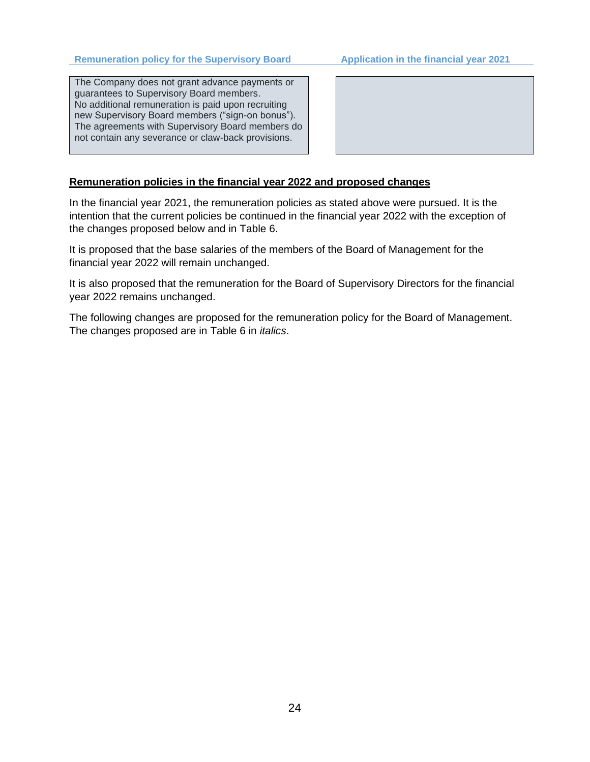The Company does not grant advance payments or guarantees to Supervisory Board members. No additional remuneration is paid upon recruiting new Supervisory Board members ("sign-on bonus"). The agreements with Supervisory Board members do not contain any severance or claw-back provisions.

![](_page_23_Picture_3.jpeg)

# **Remuneration policies in the financial year 2022 and proposed changes**

In the financial year 2021, the remuneration policies as stated above were pursued. It is the intention that the current policies be continued in the financial year 2022 with the exception of the changes proposed below and in Table 6.

It is proposed that the base salaries of the members of the Board of Management for the financial year 2022 will remain unchanged.

It is also proposed that the remuneration for the Board of Supervisory Directors for the financial year 2022 remains unchanged.

The following changes are proposed for the remuneration policy for the Board of Management. The changes proposed are in Table 6 in *italics*.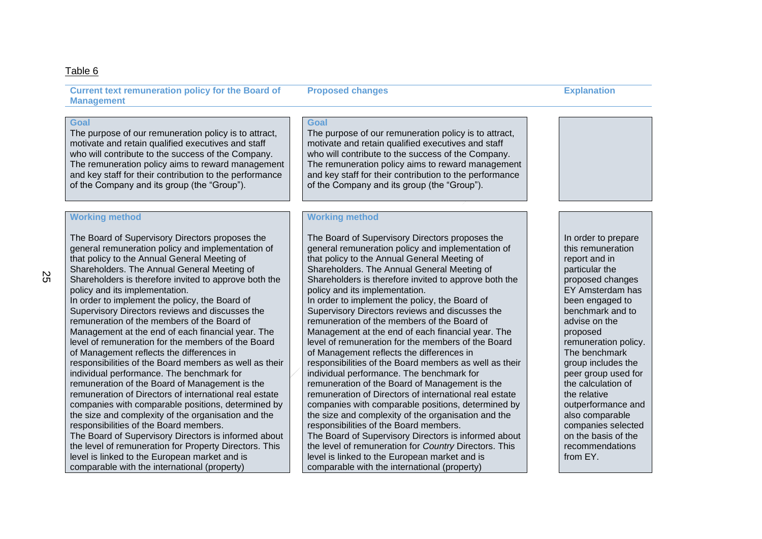#### Table 6

**Current text remuneration policy for the Board of Management**

## **Goal**

The purpose of our remuneration policy is to attract, motivate and retain qualified executives and staff who will contribute to the success of the Company. The remuneration policy aims to reward management and key staff for their contribution to the performance of the Company and its group (the "Group").

#### **Working method**

The Board of Supervisory Directors proposes the general remuneration policy and implementation of that policy to the Annual General Meeting of Shareholders. The Annual General Meeting of Shareholders is therefore invited to approve both the policy and its implementation. In order to implement the policy, the Board of Supervisory Directors reviews and discusses the remuneration of the members of the Board of Management at the end of each financial year. The level of remuneration for the members of the Board of Management reflects the differences in responsibilities of the Board members as well as their individual performance. The benchmark for remuneration of the Board of Management is the remuneration of Directors of international real estate companies with comparable positions, determined by the size and complexity of the organisation and the responsibilities of the Board members. The Board of Supervisory Directors is informed about the level of remuneration for Property Directors. This level is linked to the European market and is comparable with the international (property)

# **Goal**

The purpose of our remuneration policy is to attract, motivate and retain qualified executives and staff who will contribute to the success of the Company. The remuneration policy aims to reward management and key staff for their contribution to the performance of the Company and its group (the "Group").

#### **Working method**

The Board of Supervisory Directors proposes the general remuneration policy and implementation of that policy to the Annual General Meeting of Shareholders. The Annual General Meeting of Shareholders is therefore invited to approve both the policy and its implementation. In order to implement the policy, the Board of Supervisory Directors reviews and discusses the remuneration of the members of the Board of Management at the end of each financial year. The level of remuneration for the members of the Board of Management reflects the differences in responsibilities of the Board members as well as their individual performance. The benchmark for remuneration of the Board of Management is the remuneration of Directors of international real estate companies with comparable positions, determined by the size and complexity of the organisation and the responsibilities of the Board members. The Board of Supervisory Directors is informed about the level of remuneration for *Country* Directors. This level is linked to the European market and is comparable with the international (property)

In order to prepare this remuneration report and in particular the proposed changes EY Amsterdam has been engaged to benchmark and to advise on the proposed remuneration policy. The benchmark group includes the peer group used for the calculation of the relative outperformance and also comparable companies selected on the basis of the recommendations from EY.

#### **Proposed changes Explanation**

 $\mathcal{Z}$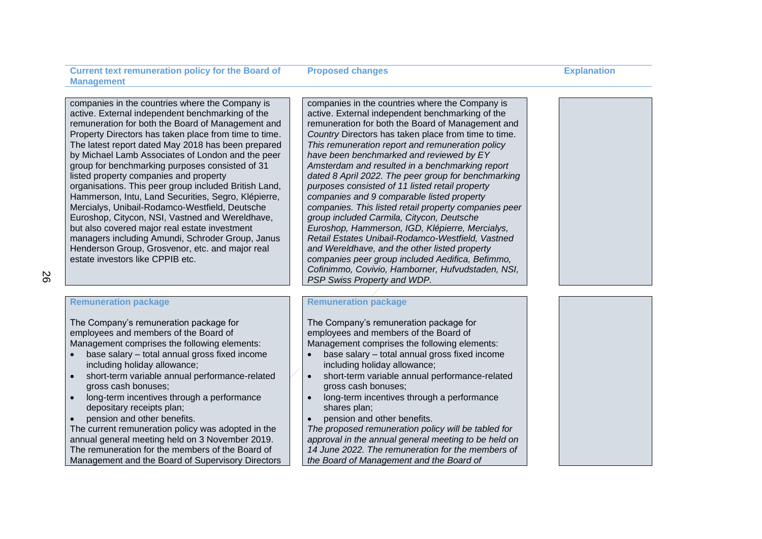**Proposed changes Explanation** 

companies in the countries where the Company is active. External independent benchmarking of the remuneration for both the Board of Management and Property Directors has taken place from time to time. The latest report dated May 2018 has been prepared by Michael Lamb Associates of London and the peer group for benchmarking purposes consisted of 31 listed property companies and property organisations. This peer group included British Land, Hammerson, Intu, Land Securities, Segro, Klépierre, Mercialys, Unibail-Rodamco-Westfield, Deutsche Euroshop, Citycon, NSI, Vastned and Wereldhave, but also covered major real estate investment managers including Amundi, Schroder Group, Janus Henderson Group, Grosvenor, etc. and major real estate investors like CPPIB etc.

26

### **Remuneration package**

The Company's remuneration package for employees and members of the Board of Management comprises the following elements:

- base salary total annual gross fixed income including holiday allowance;
- short-term variable annual performance-related gross cash bonuses;
- long-term incentives through a performance depositary receipts plan;
- pension and other benefits.

The current remuneration policy was adopted in the annual general meeting held on 3 November 2019. The remuneration for the members of the Board of Management and the Board of Supervisory Directors companies in the countries where the Company is active. External independent benchmarking of the remuneration for both the Board of Management and *Country* Directors has taken place from time to time. *This remuneration report and remuneration policy have been benchmarked and reviewed by EY Amsterdam and resulted in a benchmarking report dated 8 April 2022. The peer group for benchmarking purposes consisted of 11 listed retail property companies and 9 comparable listed property companies. This listed retail property companies peer group included Carmila, Citycon, Deutsche Euroshop, Hammerson, IGD, Klépierre, Mercialys, Retail Estates Unibail-Rodamco-Westfield, Vastned and Wereldhave, and the other listed property companies peer group included Aedifica, Befimmo, Cofinimmo, Covivio, Hamborner, Hufvudstaden, NSI, PSP Swiss Property and WDP.*

#### **Remuneration package**

The Company's remuneration package for employees and members of the Board of Management comprises the following elements:

- base salary total annual gross fixed income including holiday allowance;
- short-term variable annual performance-related gross cash bonuses;
- long-term incentives through a performance shares plan;
- pension and other benefits.

*The proposed remuneration policy will be tabled for approval in the annual general meeting to be held on 14 June 2022. The remuneration for the members of the Board of Management and the Board of*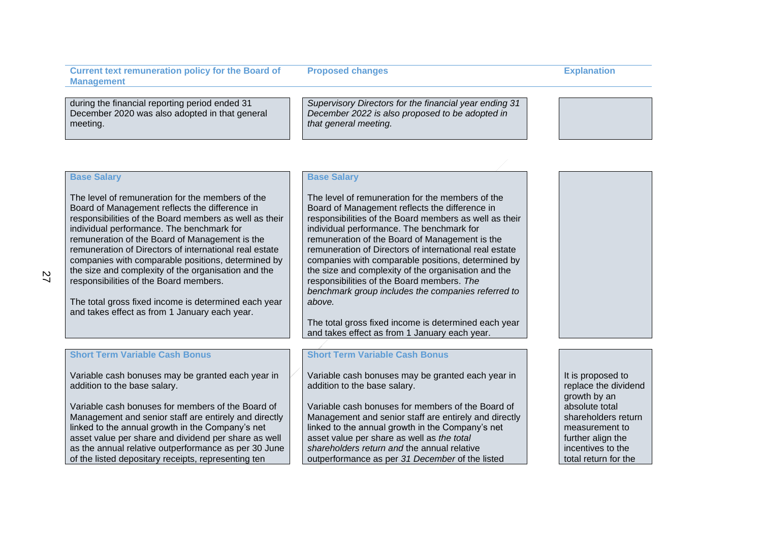during the financial reporting period ended 31 December 2020 was also adopted in that general meeting.

*Supervisory Directors for the financial year ending 31 December 2022 is also proposed to be adopted in that general meeting.*

### **Base Salary**

The level of remuneration for the members of the Board of Management reflects the difference in responsibilities of the Board members as well as their individual performance. The benchmark for remuneration of the Board of Management is the remuneration of Directors of international real estate companies with comparable positions, determined by the size and complexity of the organisation and the responsibilities of the Board members.

The total gross fixed income is determined each year and takes effect as from 1 January each year.

# **Base Salary**

The level of remuneration for the members of the Board of Management reflects the difference in responsibilities of the Board members as well as their individual performance. The benchmark for remuneration of the Board of Management is the remuneration of Directors of international real estate companies with comparable positions, determined by the size and complexity of the organisation and the responsibilities of the Board members. *The benchmark group includes the companies referred to above.*

The total gross fixed income is determined each year and takes effect as from 1 January each year.

### **Short Term Variable Cash Bonus**

Variable cash bonuses may be granted each year in addition to the base salary.

Variable cash bonuses for members of the Board of Management and senior staff are entirely and directly linked to the annual growth in the Company's net asset value per share and dividend per share as well as the annual relative outperformance as per 30 June of the listed depositary receipts, representing ten

#### **Short Term Variable Cash Bonus**

Variable cash bonuses may be granted each year in addition to the base salary.

Variable cash bonuses for members of the Board of Management and senior staff are entirely and directly linked to the annual growth in the Company's net asset value per share as well as *the total shareholders return and* the annual relative outperformance as per *31 December* of the listed

It is proposed to replace the dividend growth by an absolute total shareholders return measurement to further align the incentives to the total return for the

**Proposed changes Explanation**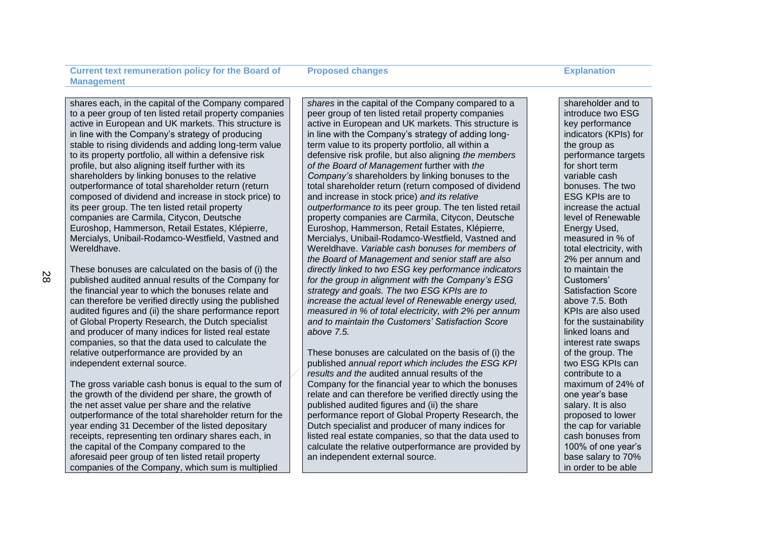**Proposed changes Explanation** 

shares each, in the capital of the Company compared to a peer group of ten listed retail property companies active in European and UK markets. This structure is in line with the Company's strategy of producing stable to rising dividends and adding long-term value to its property portfolio, all within a defensive risk profile, but also aligning itself further with its shareholders by linking bonuses to the relative outperformance of total shareholder return (return composed of dividend and increase in stock price) to its peer group. The ten listed retail property companies are Carmila, Citycon, Deutsche Euroshop, Hammerson, Retail Estates, Klépierre, Mercialys, Unibail-Rodamco-Westfield, Vastned and Wereldhave.

These bonuses are calculated on the basis of (i) the published audited annual results of the Company for the financial year to which the bonuses relate and can therefore be verified directly using the published audited figures and (ii) the share performance report of Global Property Research, the Dutch specialist and producer of many indices for listed real estate companies, so that the data used to calculate the relative outperformance are provided by an independent external source.

The gross variable cash bonus is equal to the sum of the growth of the dividend per share, the growth of the net asset value per share and the relative outperformance of the total shareholder return for the year ending 31 December of the listed depositary receipts, representing ten ordinary shares each, in the capital of the Company compared to the aforesaid peer group of ten listed retail property companies of the Company, which sum is multiplied

*shares* in the capital of the Company compared to a peer group of ten listed retail property companies active in European and UK markets. This structure is in line with the Company's strategy of adding longterm value to its property portfolio, all within a defensive risk profile, but also aligning *the members of the Board of Management* further with *the Company's* shareholders by linking bonuses to the total shareholder return (return composed of dividend and increase in stock price) *and its relative outperformance to* its peer group. The ten listed retail property companies are Carmila, Citycon, Deutsche Euroshop, Hammerson, Retail Estates, Klépierre*,*  Mercialys, Unibail-Rodamco-Westfield, Vastned and Wereldhave. *Variable cash bonuses for members of the Board of Management and senior staff are also directly linked to two ESG key performance indicators for the group in alignment with the Company's ESG strategy and goals. The two ESG KPIs are to increase the actual level of Renewable energy used, measured in % of total electricity, with 2% per annum and to maintain the Customers' Satisfaction Score above 7.5.*

These bonuses are calculated on the basis of (i) the published *annual report which includes the ESG KPI results and the* audited annual results of the Company for the financial year to which the bonuses relate and can therefore be verified directly using the published audited figures and (ii) the share performance report of Global Property Research, the Dutch specialist and producer of many indices for listed real estate companies, so that the data used to calculate the relative outperformance are provided by an independent external source.

shareholder and to introduce two ESG key performance indicators (KPIs) for the group as performance targets for short term variable cash bonuses. The two ESG KPIs are to increase the actual level of Renewable Energy Used, measured in % of total electricity, with 2% per annum and to maintain the Customers' Satisfaction Score above 7.5. Both KPIs are also used for the sustainability linked loans and interest rate swaps of the group. The two ESG KPIs can contribute to a maximum of 24% of one year's base salary. It is also proposed to lower the cap for variable cash bonuses from 100% of one year's base salary to 70% in order to be able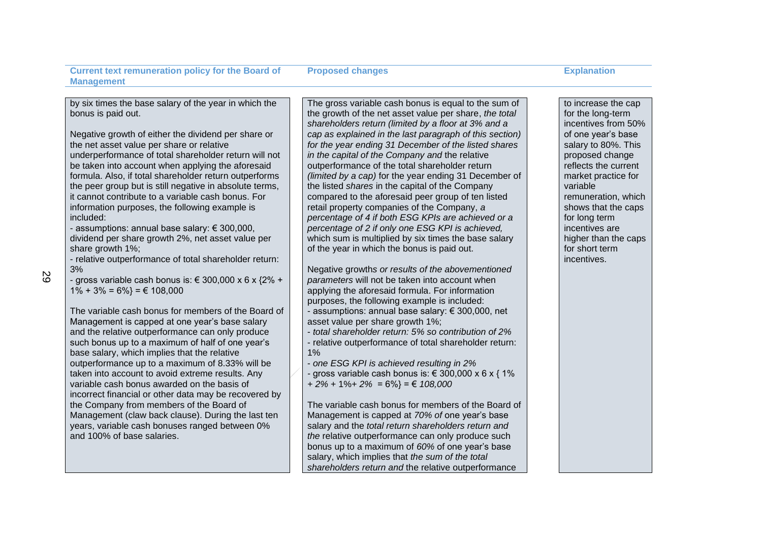**Proposed changes Explanation** 

by six times the base salary of the year in which the bonus is paid out.

Negative growth of either the dividend per share or the net asset value per share or relative underperformance of total shareholder return will not be taken into account when applying the aforesaid formula. Also, if total shareholder return outperforms the peer group but is still negative in absolute terms, it cannot contribute to a variable cash bonus. For information purposes, the following example is included:

- assumptions: annual base salary: € 300,000, dividend per share growth 2%, net asset value per share growth 1%;

- relative outperformance of total shareholder return: 3%

- gross variable cash bonus is: € 300,000 x 6 x  $\{2\% +$  $1\% + 3\% = 6\% = \text{\textsterling}108.000$ 

The variable cash bonus for members of the Board of Management is capped at one year's base salary and the relative outperformance can only produce such bonus up to a maximum of half of one year's base salary, which implies that the relative outperformance up to a maximum of 8.33% will be taken into account to avoid extreme results. Any variable cash bonus awarded on the basis of incorrect financial or other data may be recovered by the Company from members of the Board of Management (claw back clause). During the last ten years, variable cash bonuses ranged between 0% and 100% of base salaries.

The gross variable cash bonus is equal to the sum of the growth of the net asset value per share, *the total shareholders return (limited by a floor at 3% and a cap as explained in the last paragraph of this section) for the year ending 31 December of the listed shares in the capital of the Company and* the relative outperformance of the total shareholder return *(limited by a cap)* for the year ending 31 December of the listed *shares* in the capital of the Company compared to the aforesaid peer group of ten listed retail property companies of the Company, *a percentage of 4 if both ESG KPIs are achieved or a percentage of 2 if only one ESG KPI is achieved,*  which sum is multiplied by six times the base salary of the year in which the bonus is paid out.

Negative growth*s or results of the abovementioned parameters* will not be taken into account when applying the aforesaid formula. For information purposes, the following example is included: - assumptions: annual base salary: € 300,000, net asset value per share growth 1%;

- *total shareholder return: 5% so contribution of 2%*

- relative outperformance of total shareholder return: 1%

- *one ESG KPI is achieved resulting in 2% -* gross variable cash bonus is: € 300,000 x 6 x { 1% *+ 2%* + 1%*+ 2%* = 6%} = € *108,000*

The variable cash bonus for members of the Board of Management is capped at *70% of* one year's base salary and the *total return shareholders return and the* relative outperformance can only produce such bonus up to a maximum of *60%* of one year's base salary, which implies that *the sum of the total shareholders return and* the relative outperformance

to increase the cap for the long-term incentives from 50% of one year's base salary to 80%. This proposed change reflects the current market practice for variable remuneration, which shows that the caps for long term incentives are higher than the caps for short term incentives.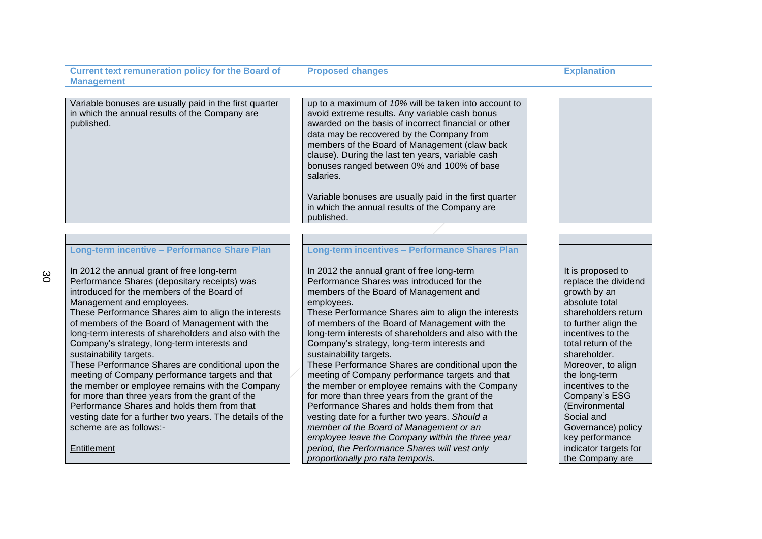**Proposed changes Explanation** 

Variable bonuses are usually paid in the first quarter in which the annual results of the Company are published.

up to a maximum of *10%* will be taken into account to avoid extreme results. Any variable cash bonus awarded on the basis of incorrect financial or other data may be recovered by the Company from members of the Board of Management (claw back clause). During the last ten years, variable cash bonuses ranged between 0% and 100% of base salaries.

Variable bonuses are usually paid in the first quarter in which the annual results of the Company are published.

#### **Long-term incentive – Performance Share Plan**

In 2012 the annual grant of free long-term Performance Shares (depositary receipts) was introduced for the members of the Board of Management and employees. These Performance Shares aim to align the interests

of members of the Board of Management with the long-term interests of shareholders and also with the Company's strategy, long-term interests and sustainability targets.

These Performance Shares are conditional upon the meeting of Company performance targets and that the member or employee remains with the Company for more than three years from the grant of the Performance Shares and holds them from that vesting date for a further two years. The details of the scheme are as follows:-

**Entitlement** 

# **Long-term incentives – Performance Shares Plan**

In 2012 the annual grant of free long-term Performance Shares was introduced for the members of the Board of Management and employees.

These Performance Shares aim to align the interests of members of the Board of Management with the long-term interests of shareholders and also with the Company's strategy, long-term interests and sustainability targets.

These Performance Shares are conditional upon the meeting of Company performance targets and that the member or employee remains with the Company for more than three years from the grant of the Performance Shares and holds them from that vesting date for a further two years. *Should a member of the Board of Management or an employee leave the Company within the three year period, the Performance Shares will vest only proportionally pro rata temporis.*

It is proposed to replace the dividend growth by an absolute total shareholders return to further align the incentives to the total return of the shareholder. Moreover, to align the long-term incentives to the Company's ESG (Environmental Social and Governance) policy key performance indicator targets for the Company are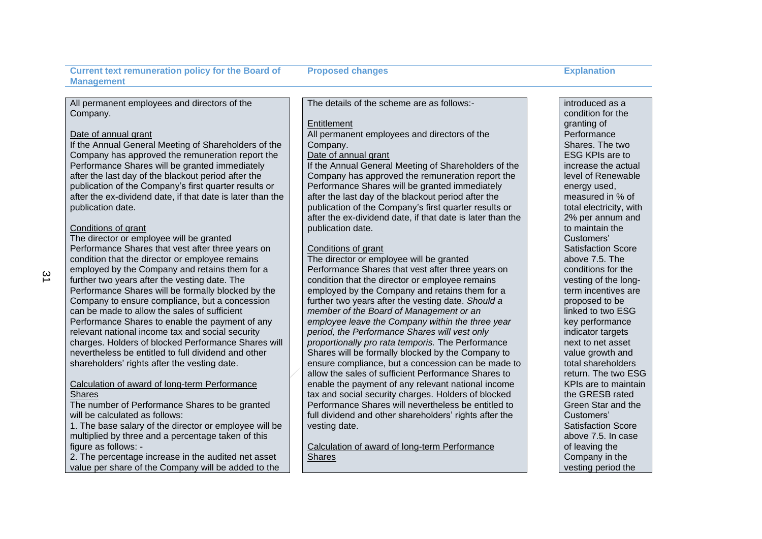**Proposed changes Explanation** 

All permanent employees and directors of the Company.

#### Date of annual grant

If the Annual General Meeting of Shareholders of the Company has approved the remuneration report the Performance Shares will be granted immediately after the last day of the blackout period after the publication of the Company's first quarter results or after the ex-dividend date, if that date is later than the publication date.

#### Conditions of grant

The director or employee will be granted Performance Shares that vest after three years on condition that the director or employee remains employed by the Company and retains them for a further two years after the vesting date. The Performance Shares will be formally blocked by the Company to ensure compliance, but a concession can be made to allow the sales of sufficient Performance Shares to enable the payment of any relevant national income tax and social security charges. Holders of blocked Performance Shares will nevertheless be entitled to full dividend and other shareholders' rights after the vesting date.

#### Calculation of award of long-term Performance **Shares**

The number of Performance Shares to be granted will be calculated as follows:

1. The base salary of the director or employee will be multiplied by three and a percentage taken of this figure as follows: -

2. The percentage increase in the audited net asset value per share of the Company will be added to the The details of the scheme are as follows:-

#### **Entitlement**

All permanent employees and directors of the Company.

# Date of annual grant

If the Annual General Meeting of Shareholders of the Company has approved the remuneration report the Performance Shares will be granted immediately after the last day of the blackout period after the publication of the Company's first quarter results or after the ex-dividend date, if that date is later than the publication date.

#### Conditions of grant

The director or employee will be granted Performance Shares that vest after three years on condition that the director or employee remains employed by the Company and retains them for a further two years after the vesting date. *Should a member of the Board of Management or an employee leave the Company within the three year period, the Performance Shares will vest only proportionally pro rata temporis.* The Performance Shares will be formally blocked by the Company to ensure compliance, but a concession can be made to allow the sales of sufficient Performance Shares to enable the payment of any relevant national income tax and social security charges. Holders of blocked Performance Shares will nevertheless be entitled to full dividend and other shareholders' rights after the vesting date.

Calculation of award of long-term Performance **Shares** 

introduced as a condition for the granting of **Performance** Shares. The two ESG KPIs are to increase the actual level of Renewable energy used, measured in % of total electricity, with 2% per annum and to maintain the Customers' Satisfaction Score above 7.5. The conditions for the vesting of the longterm incentives are proposed to be linked to two ESG key performance indicator targets next to net asset value growth and total shareholders return. The two ESG KPIs are to maintain the GRESB rated Green Star and the Customers' Satisfaction Score above 7.5. In case of leaving the Company in the vesting period the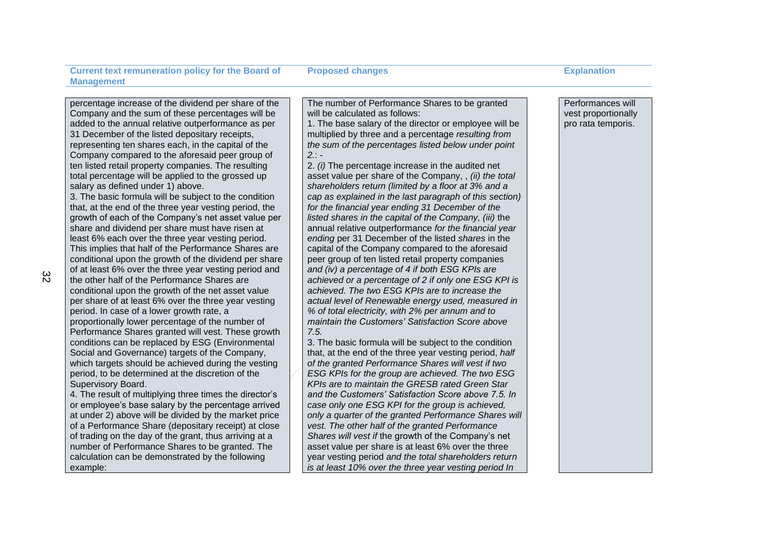**Proposed changes Explanation** 

percentage increase of the dividend per share of the Company and the sum of these percentages will be added to the annual relative outperformance as per 31 December of the listed depositary receipts, representing ten shares each, in the capital of the Company compared to the aforesaid peer group of ten listed retail property companies. The resulting total percentage will be applied to the grossed up salary as defined under 1) above.

3. The basic formula will be subject to the condition that, at the end of the three year vesting period, the growth of each of the Company's net asset value per share and dividend per share must have risen at least 6% each over the three year vesting period. This implies that half of the Performance Shares are conditional upon the growth of the dividend per share of at least 6% over the three year vesting period and the other half of the Performance Shares are conditional upon the growth of the net asset value per share of at least 6% over the three year vesting period. In case of a lower growth rate, a proportionally lower percentage of the number of Performance Shares granted will vest. These growth conditions can be replaced by ESG (Environmental Social and Governance) targets of the Company, which targets should be achieved during the vesting period, to be determined at the discretion of the Supervisory Board.

4. The result of multiplying three times the director's or employee's base salary by the percentage arrived at under 2) above will be divided by the market price of a Performance Share (depositary receipt) at close of trading on the day of the grant, thus arriving at a number of Performance Shares to be granted. The calculation can be demonstrated by the following example:

The number of Performance Shares to be granted will be calculated as follows:

1. The base salary of the director or employee will be multiplied by three and a percentage *resulting from the sum of the percentages listed below under point 2.*: -

2. *(i)* The percentage increase in the audited net asset value per share of the Company, , *(ii) the total shareholders return (limited by a floor at 3% and a cap as explained in the last paragraph of this section) for the financial year ending 31 December of the listed shares in the capital of the Company, (iii)* the annual relative outperformance *for the financial year ending* per 31 December of the listed *shares* in the capital of the Company compared to the aforesaid peer group of ten listed retail property companies *and (iv) a percentage of 4 if both ESG KPIs are achieved or a percentage of 2 if only one ESG KPI is achieved. The two ESG KPIs are to increase the actual level of Renewable energy used, measured in % of total electricity, with 2% per annum and to maintain the Customers' Satisfaction Score above 7.5.*

3. The basic formula will be subject to the condition that, at the end of the three year vesting period, *half of the granted Performance Shares will vest if two ESG KPIs for the group are achieved. The two ESG KPIs are to maintain the GRESB rated Green Star and the Customers' Satisfaction Score above 7.5. In case only one ESG KPI for the group is achieved, only a quarter of the granted Performance Shares will vest. The other half of the granted Performance Shares will vest if* the growth of the Company's net asset value per share is at least 6% over the three year vesting period *and the total shareholders return is at least 10% over the three year vesting period In* 

Performances will vest proportionally pro rata temporis.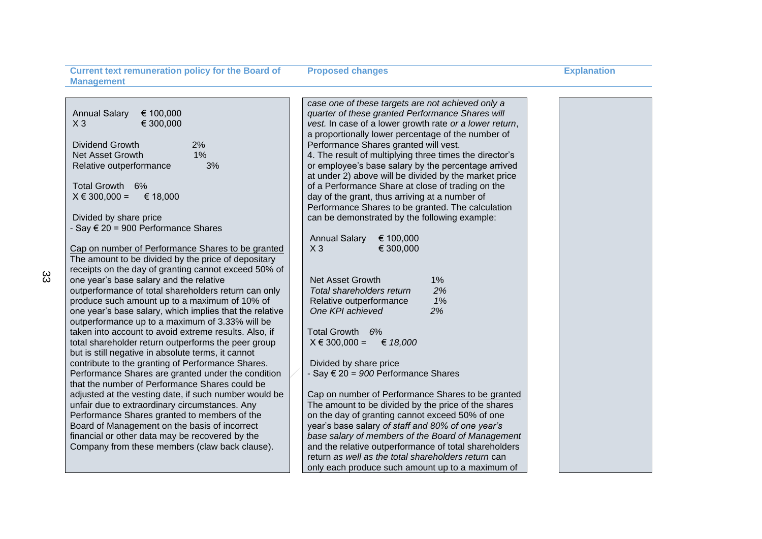**Proposed changes Explanation** 

|                                                         | case one of these targets are not achieved only a       |  |
|---------------------------------------------------------|---------------------------------------------------------|--|
| <b>Annual Salary</b><br>€ 100,000                       | quarter of these granted Performance Shares will        |  |
| € 300,000<br>$X_3$                                      | vest. In case of a lower growth rate or a lower return, |  |
|                                                         | a proportionally lower percentage of the number of      |  |
| Dividend Growth<br>2%                                   | Performance Shares granted will vest.                   |  |
| 1%<br>Net Asset Growth                                  | 4. The result of multiplying three times the director's |  |
| Relative outperformance<br>3%                           | or employee's base salary by the percentage arrived     |  |
|                                                         | at under 2) above will be divided by the market price   |  |
| Total Growth 6%                                         | of a Performance Share at close of trading on the       |  |
| $X \in 300,000 =$<br>€ 18,000                           | day of the grant, thus arriving at a number of          |  |
|                                                         | Performance Shares to be granted. The calculation       |  |
| Divided by share price                                  | can be demonstrated by the following example:           |  |
| - Say € 20 = 900 Performance Shares                     |                                                         |  |
|                                                         | <b>Annual Salary</b><br>€ 100,000                       |  |
| Cap on number of Performance Shares to be granted       | € 300,000<br>$X_3$                                      |  |
| The amount to be divided by the price of depositary     |                                                         |  |
| receipts on the day of granting cannot exceed 50% of    |                                                         |  |
| one year's base salary and the relative                 | Net Asset Growth<br>$1\%$                               |  |
| outperformance of total shareholders return can only    | Total shareholders return<br>2%                         |  |
| produce such amount up to a maximum of 10% of           | 1%<br>Relative outperformance                           |  |
| one year's base salary, which implies that the relative | One KPI achieved<br>2%                                  |  |
| outperformance up to a maximum of 3.33% will be         |                                                         |  |
| taken into account to avoid extreme results. Also, if   | Total Growth 6%                                         |  |
| total shareholder return outperforms the peer group     | $X \in 300,000 =$<br>€ 18,000                           |  |
| but is still negative in absolute terms, it cannot      |                                                         |  |
| contribute to the granting of Performance Shares.       | Divided by share price                                  |  |
| Performance Shares are granted under the condition      | - Say € 20 = 900 Performance Shares                     |  |
| that the number of Performance Shares could be          |                                                         |  |
| adjusted at the vesting date, if such number would be   | Cap on number of Performance Shares to be granted       |  |
| unfair due to extraordinary circumstances. Any          | The amount to be divided by the price of the shares     |  |
| Performance Shares granted to members of the            | on the day of granting cannot exceed 50% of one         |  |
| Board of Management on the basis of incorrect           | year's base salary of staff and 80% of one year's       |  |
| financial or other data may be recovered by the         | base salary of members of the Board of Management       |  |
| Company from these members (claw back clause).          | and the relative outperformance of total shareholders   |  |
|                                                         | return as well as the total shareholders return can     |  |
|                                                         | only each produce such amount up to a maximum of        |  |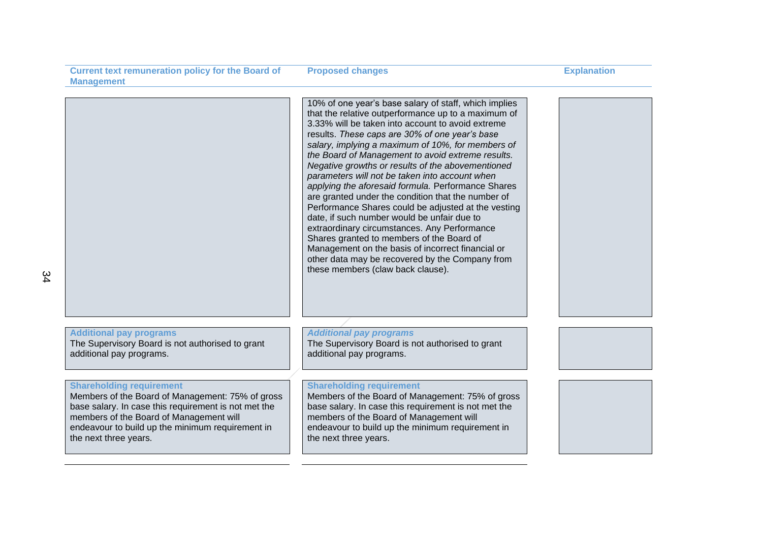**Proposed changes Explanation** 

|                                                                                                                                                                                                                                                                     | 10% of one year's base salary of staff, which implies<br>that the relative outperformance up to a maximum of<br>3.33% will be taken into account to avoid extreme<br>results. These caps are 30% of one year's base<br>salary, implying a maximum of 10%, for members of<br>the Board of Management to avoid extreme results.<br>Negative growths or results of the abovementioned<br>parameters will not be taken into account when<br>applying the aforesaid formula. Performance Shares<br>are granted under the condition that the number of<br>Performance Shares could be adjusted at the vesting<br>date, if such number would be unfair due to<br>extraordinary circumstances. Any Performance<br>Shares granted to members of the Board of<br>Management on the basis of incorrect financial or<br>other data may be recovered by the Company from<br>these members (claw back clause). |  |
|---------------------------------------------------------------------------------------------------------------------------------------------------------------------------------------------------------------------------------------------------------------------|--------------------------------------------------------------------------------------------------------------------------------------------------------------------------------------------------------------------------------------------------------------------------------------------------------------------------------------------------------------------------------------------------------------------------------------------------------------------------------------------------------------------------------------------------------------------------------------------------------------------------------------------------------------------------------------------------------------------------------------------------------------------------------------------------------------------------------------------------------------------------------------------------|--|
| <b>Additional pay programs</b><br>The Supervisory Board is not authorised to grant<br>additional pay programs.                                                                                                                                                      | <b>Additional pay programs</b><br>The Supervisory Board is not authorised to grant<br>additional pay programs.                                                                                                                                                                                                                                                                                                                                                                                                                                                                                                                                                                                                                                                                                                                                                                                   |  |
| <b>Shareholding requirement</b><br>Members of the Board of Management: 75% of gross<br>base salary. In case this requirement is not met the<br>members of the Board of Management will<br>endeavour to build up the minimum requirement in<br>the next three years. | <b>Shareholding requirement</b><br>Members of the Board of Management: 75% of gross<br>base salary. In case this requirement is not met the<br>members of the Board of Management will<br>endeavour to build up the minimum requirement in<br>the next three years.                                                                                                                                                                                                                                                                                                                                                                                                                                                                                                                                                                                                                              |  |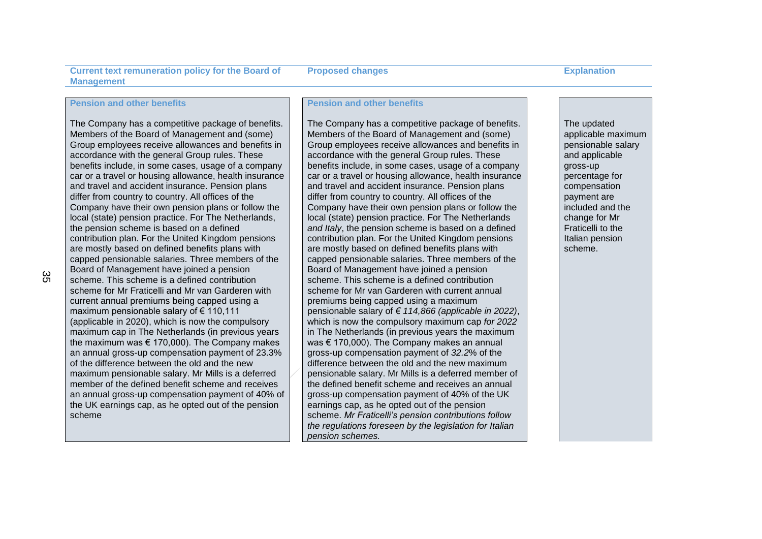#### **Pension and other benefits**

The Company has a competitive package of benefits. Members of the Board of Management and (some) Group employees receive allowances and benefits in accordance with the general Group rules. These benefits include, in some cases, usage of a company car or a travel or housing allowance, health insurance and travel and accident insurance. Pension plans differ from country to country. All offices of the Company have their own pension plans or follow the local (state) pension practice. For The Netherlands, the pension scheme is based on a defined contribution plan. For the United Kingdom pensions are mostly based on defined benefits plans with capped pensionable salaries. Three members of the Board of Management have joined a pension scheme. This scheme is a defined contribution scheme for Mr Fraticelli and Mr van Garderen with current annual premiums being capped using a maximum pensionable salary of € 110,111 (applicable in 2020), which is now the compulsory maximum cap in The Netherlands (in previous years the maximum was  $\epsilon$  170,000). The Company makes an annual gross-up compensation payment of 23.3% of the difference between the old and the new maximum pensionable salary. Mr Mills is a deferred member of the defined benefit scheme and receives an annual gross-up compensation payment of 40% of the UK earnings cap, as he opted out of the pension scheme

#### **Pension and other benefits**

The Company has a competitive package of benefits. Members of the Board of Management and (some) Group employees receive allowances and benefits in accordance with the general Group rules. These benefits include, in some cases, usage of a company car or a travel or housing allowance, health insurance and travel and accident insurance. Pension plans differ from country to country. All offices of the Company have their own pension plans or follow the local (state) pension practice. For The Netherlands *and Italy*, the pension scheme is based on a defined contribution plan. For the United Kingdom pensions are mostly based on defined benefits plans with capped pensionable salaries. Three members of the Board of Management have joined a pension scheme. This scheme is a defined contribution scheme for Mr van Garderen with current annual premiums being capped using a maximum pensionable salary of *€ 114,866 (applicable in 2022)*, which is now the compulsory maximum cap *for 2022* in The Netherlands (in previous years the maximum was € 170,000). The Company makes an annual gross-up compensation payment of *32.2*% of the difference between the old and the new maximum pensionable salary. Mr Mills is a deferred member of the defined benefit scheme and receives an annual gross-up compensation payment of 40% of the UK earnings cap, as he opted out of the pension scheme. *Mr Fraticelli's pension contributions follow the regulations foreseen by the legislation for Italian pension schemes.*

The updated applicable maximum pensionable salary and applicable gross-up percentage for compensation payment are included and the change for Mr Fraticelli to the Italian pension scheme.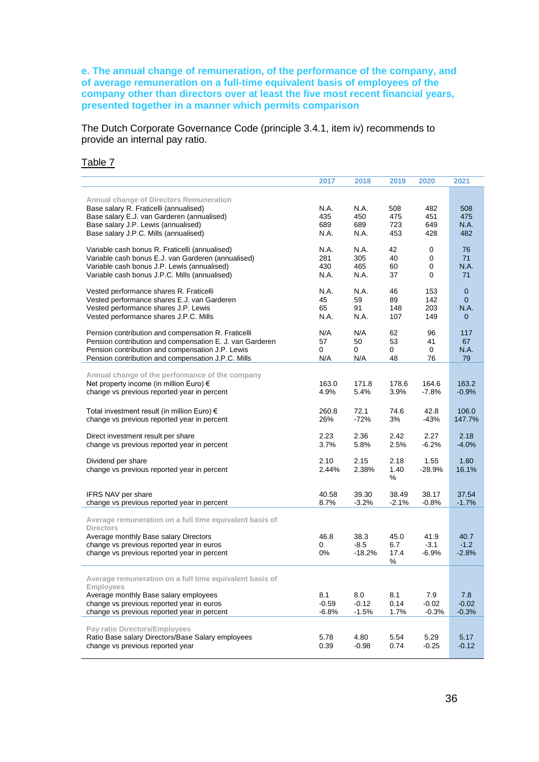# **e. The annual change of remuneration, of the performance of the company, and of average remuneration on a full-time equivalent basis of employees of the company other than directors over at least the five most recent financial years, presented together in a manner which permits comparison**

The Dutch Corporate Governance Code (principle 3.4.1, item iv) recommends to provide an internal pay ratio.

## Table 7

|                                                                                                                                                                                                                           | 2017                       | 2018                       | 2019                     | 2020                      | 2021                                              |
|---------------------------------------------------------------------------------------------------------------------------------------------------------------------------------------------------------------------------|----------------------------|----------------------------|--------------------------|---------------------------|---------------------------------------------------|
| <b>Annual change of Directors Remuneration</b><br>Base salary R. Fraticelli (annualised)<br>Base salary E.J. van Garderen (annualised)<br>Base salary J.P. Lewis (annualised)<br>Base salary J.P.C. Mills (annualised)    | N.A.<br>435<br>689<br>N.A. | N.A.<br>450<br>689<br>N.A. | 508<br>475<br>723<br>453 | 482<br>451<br>649<br>428  | 508<br>475<br>N.A.<br>482                         |
| Variable cash bonus R. Fraticelli (annualised)<br>Variable cash bonus E.J. van Garderen (annualised)<br>Variable cash bonus J.P. Lewis (annualised)<br>Variable cash bonus J.P.C. Mills (annualised)                      | N.A.<br>281<br>430<br>N.A. | N.A.<br>305<br>465<br>N.A. | 42<br>40<br>60<br>37     | 0<br>0<br>0<br>0          | 76<br>71<br>N.A.<br>71                            |
| Vested performance shares R. Fraticelli<br>Vested performance shares E.J. van Garderen<br>Vested performance shares J.P. Lewis<br>Vested performance shares J.P.C. Mills                                                  | N.A.<br>45<br>65<br>N.A.   | N.A.<br>59<br>91<br>N.A.   | 46<br>89<br>148<br>107   | 153<br>142<br>203<br>149  | $\pmb{0}$<br>$\mathbf{0}$<br>N.A.<br>$\mathbf{0}$ |
| Pension contribution and compensation R. Fraticelli<br>Pension contribution and compensation E. J. van Garderen<br>Pension contribution and compensation J.P. Lewis<br>Pension contribution and compensation J.P.C. Mills | N/A<br>57<br>0<br>N/A      | N/A<br>50<br>0<br>N/A      | 62<br>53<br>0<br>48      | 96<br>41<br>0<br>76       | 117<br>67<br><b>N.A.</b><br>79                    |
| Annual change of the performance of the company<br>Net property income (in million Euro) €<br>change vs previous reported year in percent                                                                                 | 163.0<br>4.9%              | 171.8<br>5.4%              | 178.6<br>3.9%            | 164.6<br>$-7.8%$          | 163.2<br>$-0.9%$                                  |
| Total investment result (in million Euro) €<br>change vs previous reported year in percent                                                                                                                                | 260.8<br>26%               | 72.1<br>$-72%$             | 74.6<br>3%               | 42.8<br>$-43%$            | 106.0<br>147.7%                                   |
| Direct investment result per share<br>change vs previous reported year in percent                                                                                                                                         | 2.23<br>3.7%               | 2.36<br>5.8%               | 2.42<br>2.5%             | 2.27<br>$-6.2%$           | 2.18<br>$-4.0%$                                   |
| Dividend per share<br>change vs previous reported year in percent                                                                                                                                                         | 2.10<br>2.44%              | 2.15<br>2.38%              | 2.18<br>1.40<br>%        | 1.55<br>$-28.9%$          | 1.80<br>16.1%                                     |
| IFRS NAV per share<br>change vs previous reported year in percent                                                                                                                                                         | 40.58<br>8.7%              | 39.30<br>$-3.2%$           | 38.49<br>$-2.1%$         | 38.17<br>$-0.8%$          | 37.54<br>$-1.7%$                                  |
| Average remuneration on a full time equivalent basis of<br><b>Directors</b><br>Average monthly Base salary Directors<br>change vs previous reported year in euros<br>change vs previous reported year in percent          | 46.8<br>0<br>0%            | 38.3<br>$-8.5$<br>$-18.2%$ | 45.0<br>6.7<br>17.4<br>% | 41.9<br>$-3.1$<br>$-6.9%$ | 40.7<br>$-1.2$<br>$-2.8%$                         |
| Average remuneration on a full time equivalent basis of<br><b>Employees</b><br>Average monthly Base salary employees<br>change vs previous reported year in euros<br>change vs previous reported year in percent          | 8.1<br>$-0.59$<br>$-6.8%$  | 8.0<br>$-0.12$<br>$-1.5%$  | 8.1<br>0.14<br>1.7%      | 7.9<br>$-0.02$<br>$-0.3%$ | 7.8<br>$-0.02$<br>$-0.3%$                         |
| Pay ratio Directors/Employees<br>Ratio Base salary Directors/Base Salary employees<br>change vs previous reported year                                                                                                    | 5.78<br>0.39               | 4.80<br>$-0.98$            | 5.54<br>0.74             | 5.29<br>$-0.25$           | 5.17<br>$-0.12$                                   |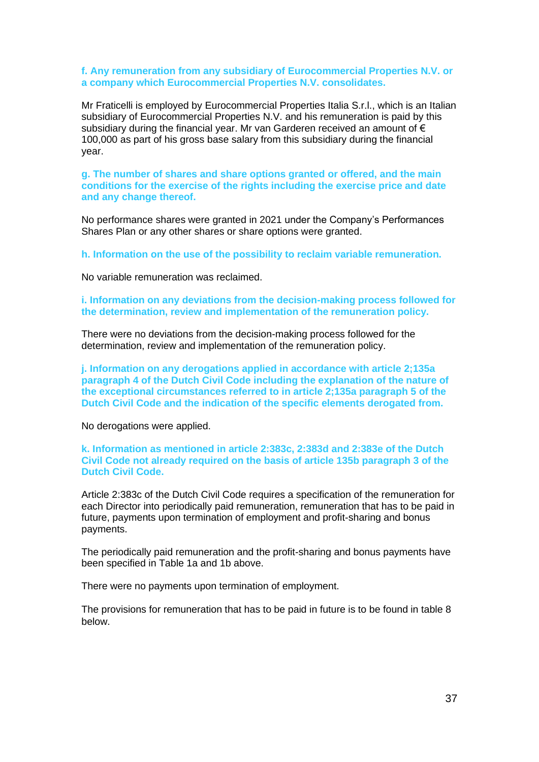## **f. Any remuneration from any subsidiary of Eurocommercial Properties N.V. or a company which Eurocommercial Properties N.V. consolidates.**

Mr Fraticelli is employed by Eurocommercial Properties Italia S.r.l., which is an Italian subsidiary of Eurocommercial Properties N.V. and his remuneration is paid by this subsidiary during the financial year. Mr van Garderen received an amount of  $\epsilon$ 100,000 as part of his gross base salary from this subsidiary during the financial year.

# **g. The number of shares and share options granted or offered, and the main conditions for the exercise of the rights including the exercise price and date and any change thereof.**

No performance shares were granted in 2021 under the Company's Performances Shares Plan or any other shares or share options were granted.

**h. Information on the use of the possibility to reclaim variable remuneration.**

No variable remuneration was reclaimed.

**i. Information on any deviations from the decision-making process followed for the determination, review and implementation of the remuneration policy.**

There were no deviations from the decision-making process followed for the determination, review and implementation of the remuneration policy.

**j. Information on any derogations applied in accordance with article 2;135a paragraph 4 of the Dutch Civil Code including the explanation of the nature of the exceptional circumstances referred to in article 2;135a paragraph 5 of the Dutch Civil Code and the indication of the specific elements derogated from.**

No derogations were applied.

**k. Information as mentioned in article 2:383c, 2:383d and 2:383e of the Dutch Civil Code not already required on the basis of article 135b paragraph 3 of the Dutch Civil Code.**

Article 2:383c of the Dutch Civil Code requires a specification of the remuneration for each Director into periodically paid remuneration, remuneration that has to be paid in future, payments upon termination of employment and profit-sharing and bonus payments.

The periodically paid remuneration and the profit-sharing and bonus payments have been specified in Table 1a and 1b above.

There were no payments upon termination of employment.

The provisions for remuneration that has to be paid in future is to be found in table 8 below.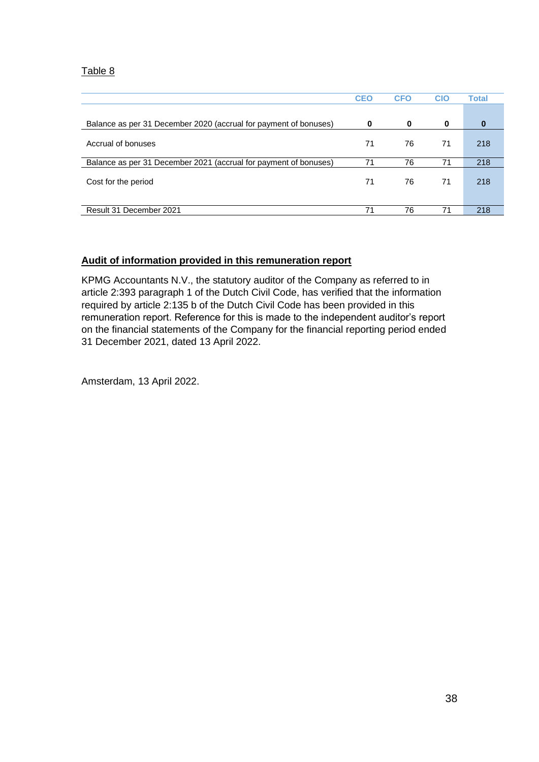# Table 8

|                                                                  | <b>CEO</b> | <b>CFO</b> | <b>CIO</b> | Total    |
|------------------------------------------------------------------|------------|------------|------------|----------|
| Balance as per 31 December 2020 (accrual for payment of bonuses) | 0          | 0          | 0          | $\bf{0}$ |
| Accrual of bonuses                                               | 71         | 76         | 71         | 218      |
| Balance as per 31 December 2021 (accrual for payment of bonuses) | 71         | 76         | 71         | 218      |
| Cost for the period                                              | 71         | 76         | 71         | 218      |
|                                                                  |            |            |            |          |
| Result 31 December 2021                                          | 71         | 76         | 71         | 218      |

# **Audit of information provided in this remuneration report**

KPMG Accountants N.V., the statutory auditor of the Company as referred to in article 2:393 paragraph 1 of the Dutch Civil Code, has verified that the information required by article 2:135 b of the Dutch Civil Code has been provided in this remuneration report. Reference for this is made to the independent auditor's report on the financial statements of the Company for the financial reporting period ended 31 December 2021, dated 13 April 2022.

Amsterdam, 13 April 2022.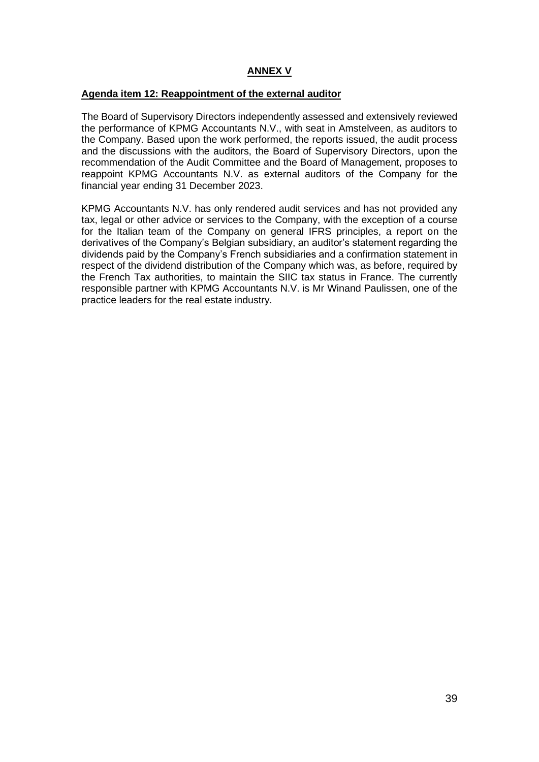# **ANNEX V**

# **Agenda item 12: Reappointment of the external auditor**

The Board of Supervisory Directors independently assessed and extensively reviewed the performance of KPMG Accountants N.V., with seat in Amstelveen, as auditors to the Company. Based upon the work performed, the reports issued, the audit process and the discussions with the auditors, the Board of Supervisory Directors, upon the recommendation of the Audit Committee and the Board of Management, proposes to reappoint KPMG Accountants N.V. as external auditors of the Company for the financial year ending 31 December 2023.

KPMG Accountants N.V. has only rendered audit services and has not provided any tax, legal or other advice or services to the Company, with the exception of a course for the Italian team of the Company on general IFRS principles, a report on the derivatives of the Company's Belgian subsidiary, an auditor's statement regarding the dividends paid by the Company's French subsidiaries and a confirmation statement in respect of the dividend distribution of the Company which was, as before, required by the French Tax authorities, to maintain the SIIC tax status in France. The currently responsible partner with KPMG Accountants N.V. is Mr Winand Paulissen, one of the practice leaders for the real estate industry.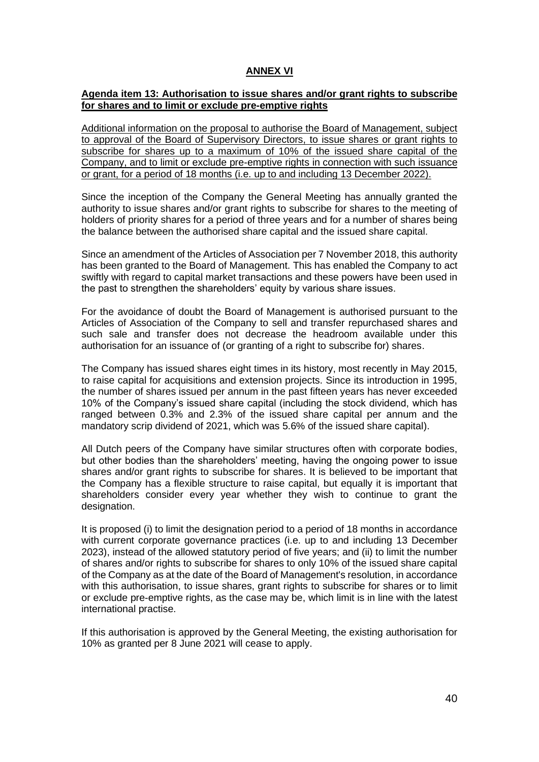# **ANNEX VI**

# **Agenda item 13: Authorisation to issue shares and/or grant rights to subscribe for shares and to limit or exclude pre-emptive rights**

Additional information on the proposal to authorise the Board of Management, subject to approval of the Board of Supervisory Directors, to issue shares or grant rights to subscribe for shares up to a maximum of 10% of the issued share capital of the Company, and to limit or exclude pre-emptive rights in connection with such issuance or grant, for a period of 18 months (i.e. up to and including 13 December 2022).

Since the inception of the Company the General Meeting has annually granted the authority to issue shares and/or grant rights to subscribe for shares to the meeting of holders of priority shares for a period of three years and for a number of shares being the balance between the authorised share capital and the issued share capital.

Since an amendment of the Articles of Association per 7 November 2018, this authority has been granted to the Board of Management. This has enabled the Company to act swiftly with regard to capital market transactions and these powers have been used in the past to strengthen the shareholders' equity by various share issues.

For the avoidance of doubt the Board of Management is authorised pursuant to the Articles of Association of the Company to sell and transfer repurchased shares and such sale and transfer does not decrease the headroom available under this authorisation for an issuance of (or granting of a right to subscribe for) shares.

The Company has issued shares eight times in its history, most recently in May 2015, to raise capital for acquisitions and extension projects. Since its introduction in 1995, the number of shares issued per annum in the past fifteen years has never exceeded 10% of the Company's issued share capital (including the stock dividend, which has ranged between 0.3% and 2.3% of the issued share capital per annum and the mandatory scrip dividend of 2021, which was 5.6% of the issued share capital).

All Dutch peers of the Company have similar structures often with corporate bodies, but other bodies than the shareholders' meeting, having the ongoing power to issue shares and/or grant rights to subscribe for shares. It is believed to be important that the Company has a flexible structure to raise capital, but equally it is important that shareholders consider every year whether they wish to continue to grant the designation.

It is proposed (i) to limit the designation period to a period of 18 months in accordance with current corporate governance practices (i.e. up to and including 13 December 2023), instead of the allowed statutory period of five years; and (ii) to limit the number of shares and/or rights to subscribe for shares to only 10% of the issued share capital of the Company as at the date of the Board of Management's resolution, in accordance with this authorisation, to issue shares, grant rights to subscribe for shares or to limit or exclude pre-emptive rights, as the case may be, which limit is in line with the latest international practise.

If this authorisation is approved by the General Meeting, the existing authorisation for 10% as granted per 8 June 2021 will cease to apply.